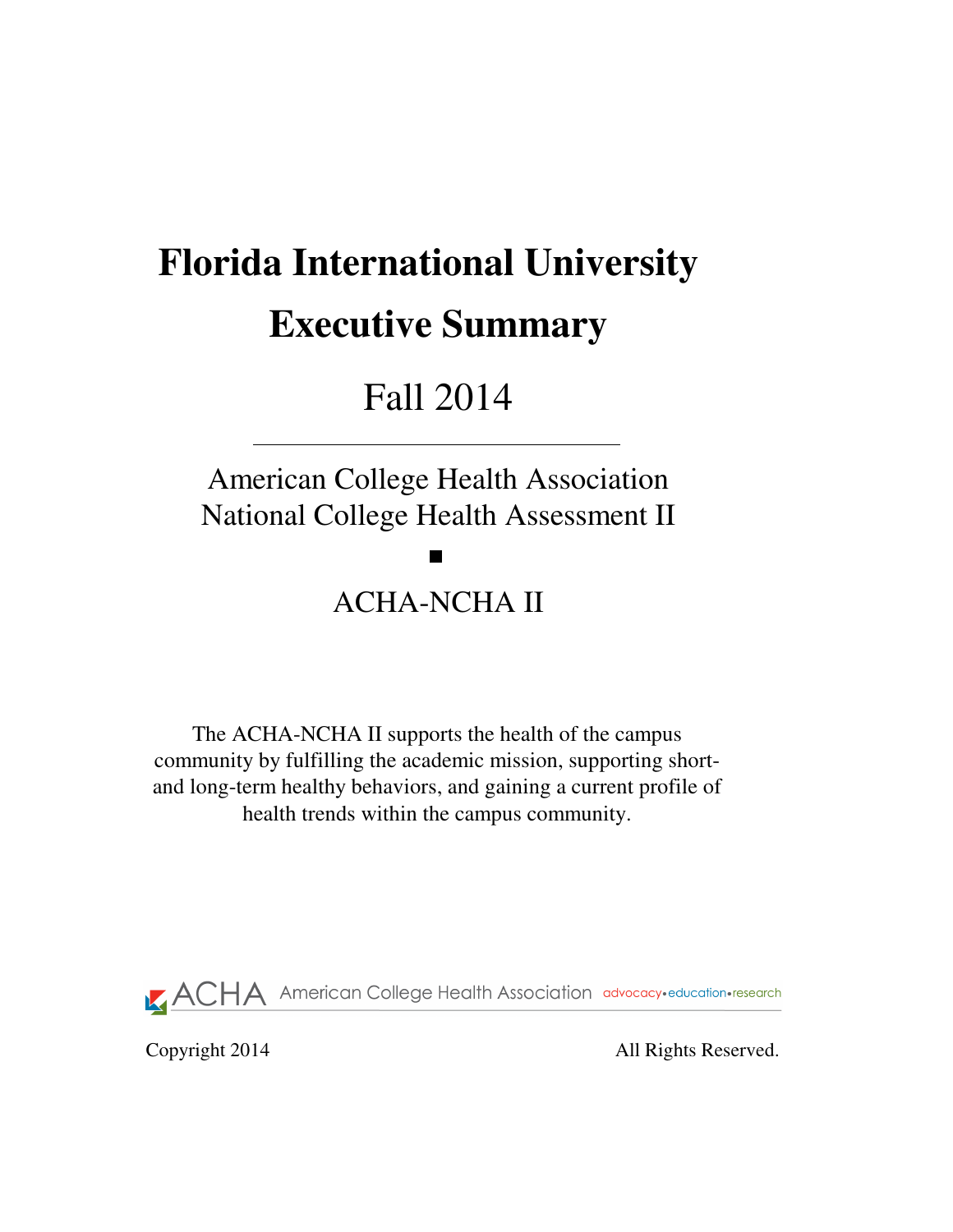# **Florida International University Executive Summary**

# Fall 2014

# American College Health Association National College Health Assessment II

**Tara** 

# ACHA-NCHA II

The ACHA-NCHA II supports the health of the campus community by fulfilling the academic mission, supporting shortand long-term healthy behaviors, and gaining a current profile of health trends within the campus community.

**ACHA** American College Health Association advocacy·education·research

Copyright 2014 All Rights Reserved.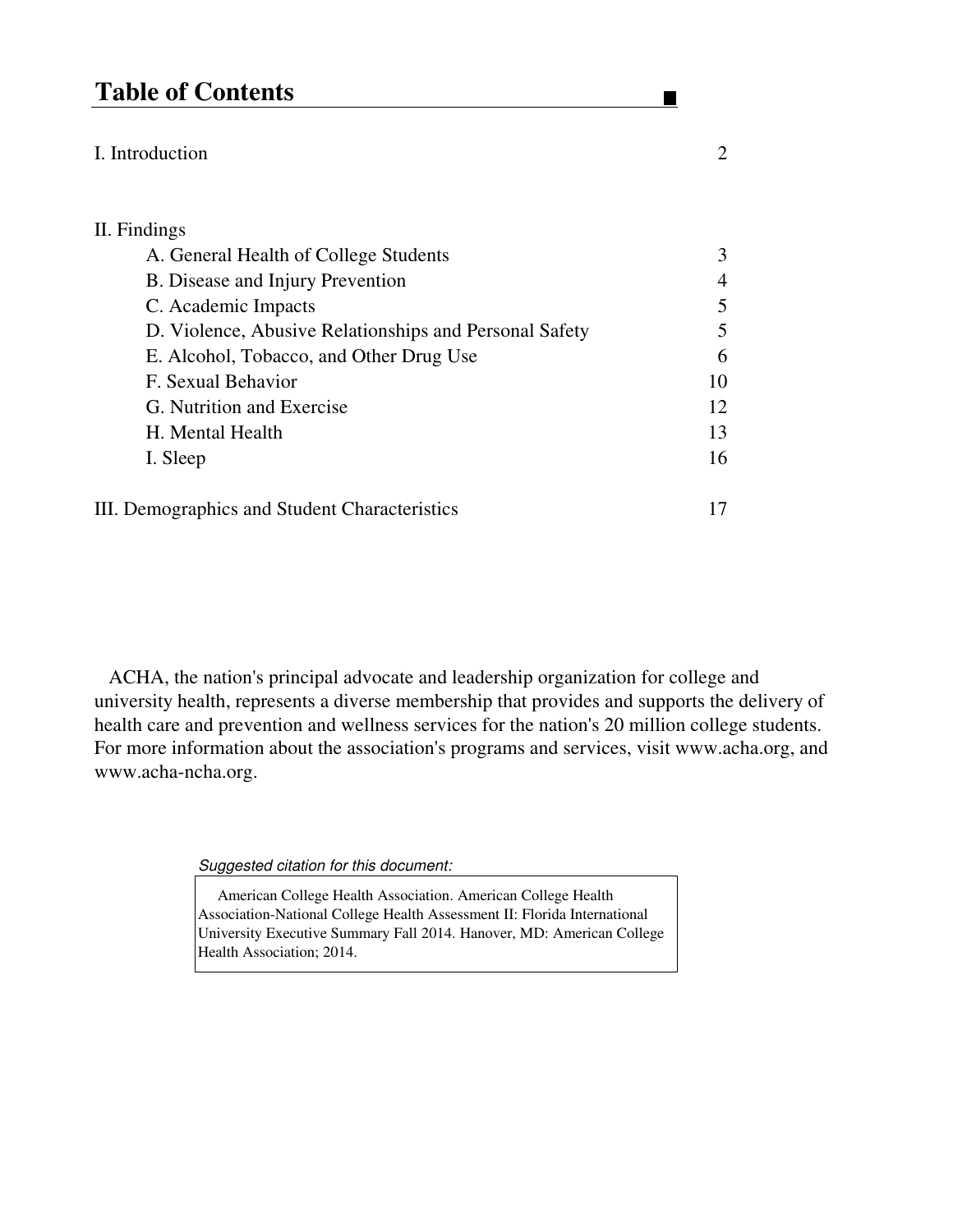## **Table of Contents**

#### I. Introduction 2

## II. Findings A. General Health of College Students 3 B. Disease and Injury Prevention 4 C. Academic Impacts 5 D. Violence, Abusive Relationships and Personal Safety 5 E. Alcohol, Tobacco, and Other Drug Use 6 F. Sexual Behavior 10 G. Nutrition and Exercise 12 H. Mental Health 13 I. Sleep 16 III. Demographics and Student Characteristics 17

 ACHA, the nation's principal advocate and leadership organization for college and university health, represents a diverse membership that provides and supports the delivery of health care and prevention and wellness services for the nation's 20 million college students. For more information about the association's programs and services, visit www.acha.org, and www.acha-ncha.org.

Suggested citation for this document:

 American College Health Association. American College Health Association-National College Health Assessment II: Florida International University Executive Summary Fall 2014. Hanover, MD: American College Health Association; 2014.

 $\blacksquare$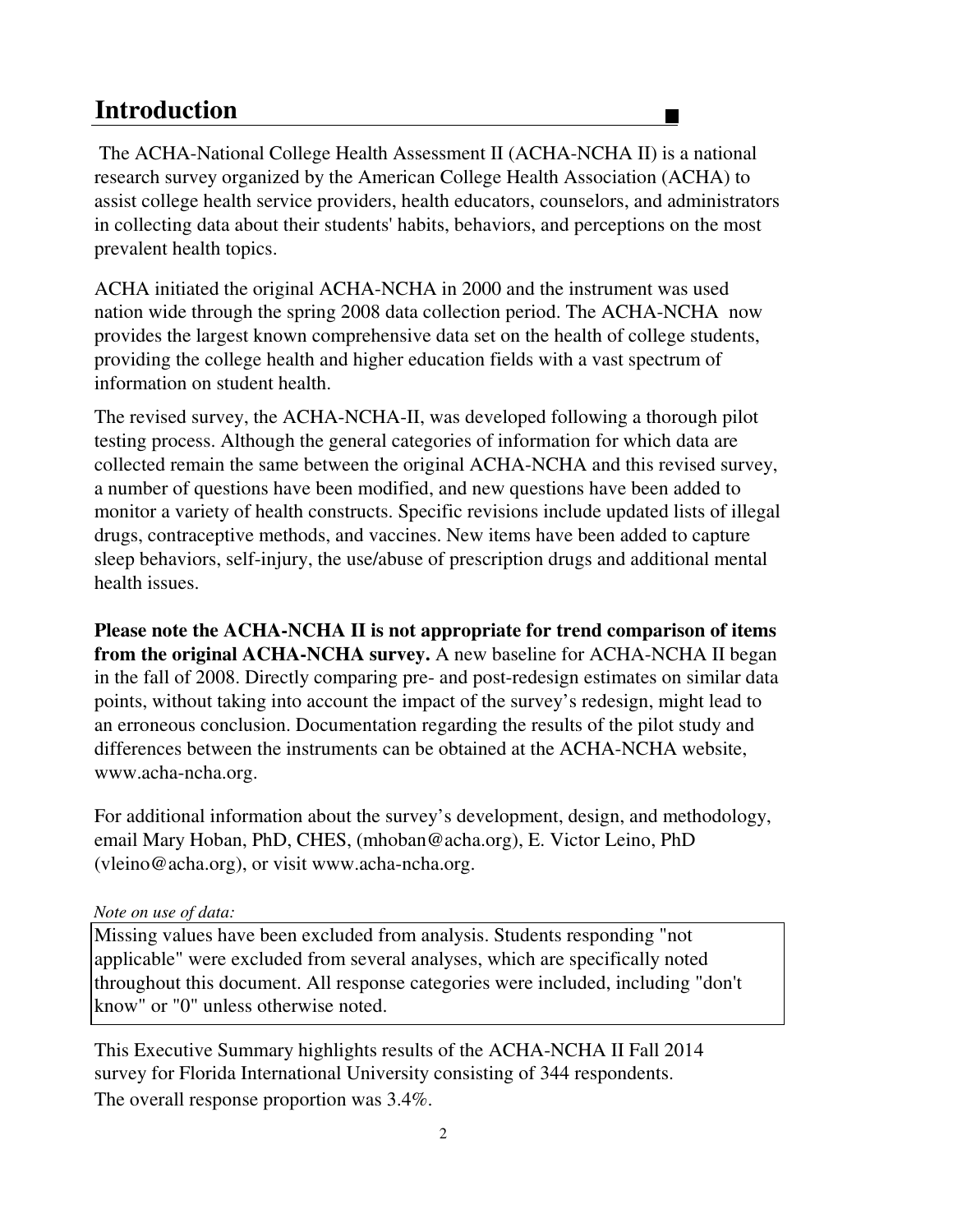## **Introduction**

 The ACHA-National College Health Assessment II (ACHA-NCHA II) is a national research survey organized by the American College Health Association (ACHA) to assist college health service providers, health educators, counselors, and administrators in collecting data about their students' habits, behaviors, and perceptions on the most prevalent health topics.

 $\blacksquare$ 

ACHA initiated the original ACHA-NCHA in 2000 and the instrument was used nation wide through the spring 2008 data collection period. The ACHA-NCHA now provides the largest known comprehensive data set on the health of college students, providing the college health and higher education fields with a vast spectrum of information on student health.

The revised survey, the ACHA-NCHA-II, was developed following a thorough pilot testing process. Although the general categories of information for which data are collected remain the same between the original ACHA-NCHA and this revised survey, a number of questions have been modified, and new questions have been added to monitor a variety of health constructs. Specific revisions include updated lists of illegal drugs, contraceptive methods, and vaccines. New items have been added to capture sleep behaviors, self-injury, the use/abuse of prescription drugs and additional mental health issues.

**Please note the ACHA-NCHA II is not appropriate for trend comparison of items from the original ACHA-NCHA survey.** A new baseline for ACHA-NCHA II began in the fall of 2008. Directly comparing pre- and post-redesign estimates on similar data points, without taking into account the impact of the survey's redesign, might lead to an erroneous conclusion. Documentation regarding the results of the pilot study and differences between the instruments can be obtained at the ACHA-NCHA website, www.acha-ncha.org.

For additional information about the survey's development, design, and methodology, email Mary Hoban, PhD, CHES, (mhoban@acha.org), E. Victor Leino, PhD (vleino@acha.org), or visit www.acha-ncha.org.

#### *Note on use of data:*

Missing values have been excluded from analysis. Students responding "not applicable" were excluded from several analyses, which are specifically noted throughout this document. All response categories were included, including "don't know" or "0" unless otherwise noted.

The overall response proportion was 3.4%. survey for Florida International University consisting of 344 respondents. This Executive Summary highlights results of the ACHA-NCHA II Fall 2014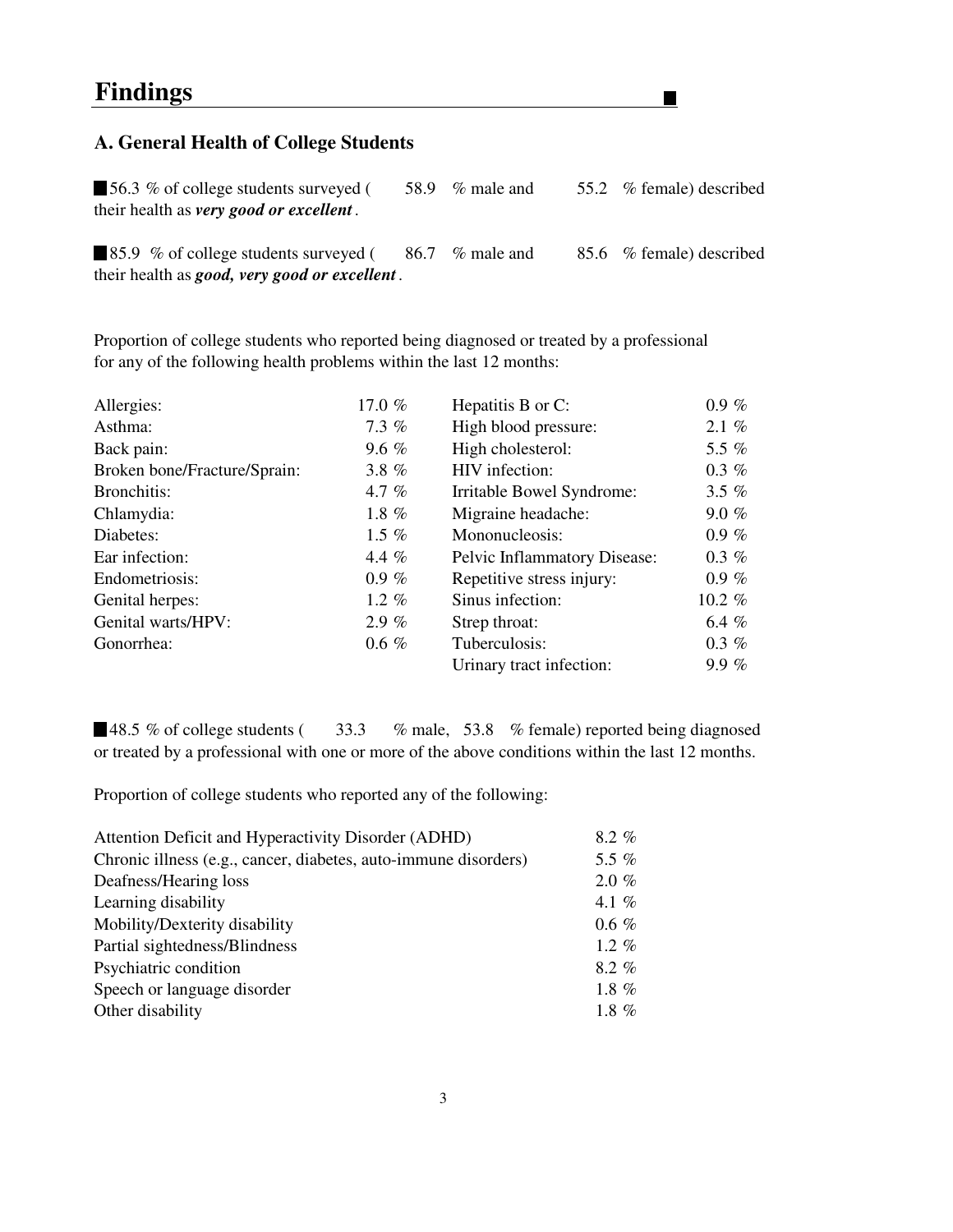#### **A. General Health of College Students**

■ 56.3 % of college students surveyed (58.9 % male and 55.2 % female) described their health as *very good or excellent .*

 $\blacksquare$ 

85.9 % of college students surveyed (86.7 % male and 85.6 % female) described their health as *good, very good or excellent .*

Proportion of college students who reported being diagnosed or treated by a professional for any of the following health problems within the last 12 months:

| Allergies:                   | 17.0 $%$ | Hepatitis B or C:            | $0.9 \%$  |
|------------------------------|----------|------------------------------|-----------|
|                              |          |                              |           |
| Asthma:                      | $7.3\%$  | High blood pressure:         | 2.1 $%$   |
| Back pain:                   | 9.6 $%$  | High cholesterol:            | 5.5 $%$   |
| Broken bone/Fracture/Sprain: | 3.8 $%$  | HIV infection:               | $0.3 \%$  |
| Bronchitis:                  | 4.7 $%$  | Irritable Bowel Syndrome:    | 3.5 $%$   |
| Chlamydia:                   | 1.8 $%$  | Migraine headache:           | $9.0 \%$  |
| Diabetes:                    | 1.5 $%$  | Mononucleosis:               | $0.9 \%$  |
| Ear infection:               | 4.4 $%$  | Pelvic Inflammatory Disease: | $0.3 \%$  |
| Endometriosis:               | $0.9 \%$ | Repetitive stress injury:    | $0.9 \%$  |
| Genital herpes:              | 1.2 $%$  | Sinus infection:             | $10.2 \%$ |
| Genital warts/HPV:           | $2.9 \%$ | Strep throat:                | 6.4 $%$   |
| Gonorrhea:                   | $0.6\%$  | Tuberculosis:                | $0.3 \%$  |
|                              |          | Urinary tract infection:     | 9.9%      |

■48.5 % of college students (33.3 % male, 53.8 % female) reported being diagnosed or treated by a professional with one or more of the above conditions within the last 12 months.

Proportion of college students who reported any of the following:

| Chronic illness (e.g., cancer, diabetes, auto-immune disorders)<br>Deafness/Hearing loss<br>Learning disability<br>Mobility/Dexterity disability<br>Partial sightedness/Blindness<br>Psychiatric condition<br>Speech or language disorder<br>Other disability | Attention Deficit and Hyperactivity Disorder (ADHD) | $8.2\%$  |
|---------------------------------------------------------------------------------------------------------------------------------------------------------------------------------------------------------------------------------------------------------------|-----------------------------------------------------|----------|
|                                                                                                                                                                                                                                                               |                                                     | 5.5 $%$  |
|                                                                                                                                                                                                                                                               |                                                     | $2.0 \%$ |
|                                                                                                                                                                                                                                                               |                                                     | 4.1 $%$  |
|                                                                                                                                                                                                                                                               |                                                     | $0.6 \%$ |
|                                                                                                                                                                                                                                                               |                                                     | 1.2 $%$  |
|                                                                                                                                                                                                                                                               |                                                     | $8.2 \%$ |
|                                                                                                                                                                                                                                                               |                                                     | 1.8 $%$  |
|                                                                                                                                                                                                                                                               |                                                     | 1.8 $%$  |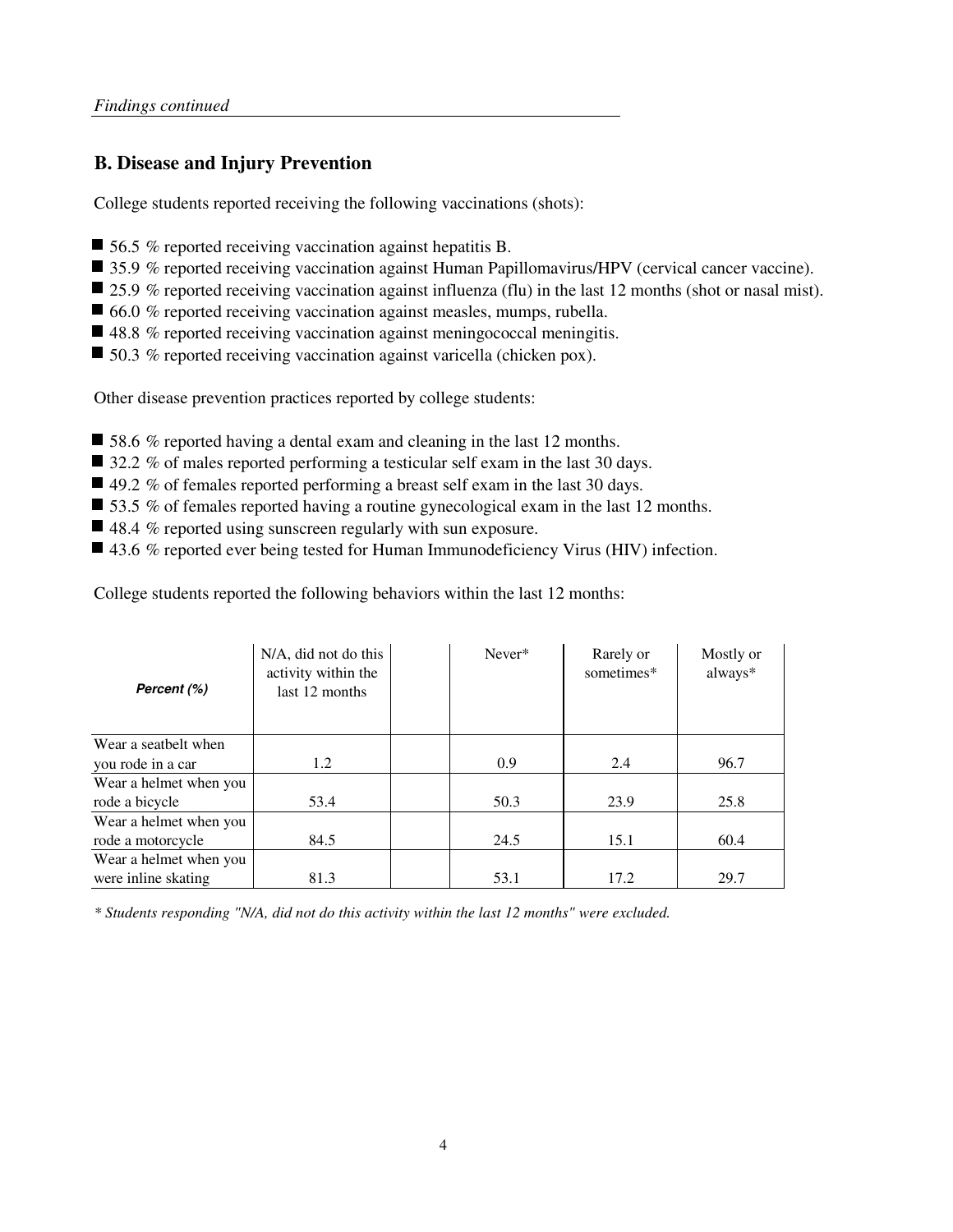#### **B. Disease and Injury Prevention**

College students reported receiving the following vaccinations (shots):

- 56.5 % reported receiving vaccination against hepatitis B.
- 35.9 % reported receiving vaccination against Human Papillomavirus/HPV (cervical cancer vaccine).
- 25.9 % reported receiving vaccination against influenza (flu) in the last 12 months (shot or nasal mist).
- 66.0 % reported receiving vaccination against measles, mumps, rubella.
- 48.8 % reported receiving vaccination against meningococcal meningitis.
- 50.3 % reported receiving vaccination against varicella (chicken pox).

Other disease prevention practices reported by college students:

- 58.6 % reported having a dental exam and cleaning in the last 12 months.
- 32.2 % of males reported performing a testicular self exam in the last 30 days.
- 49.2 % of females reported performing a breast self exam in the last 30 days.
- $\blacksquare$  53.5 % of females reported having a routine gynecological exam in the last 12 months.
- $\blacksquare$  48.4 % reported using sunscreen regularly with sun exposure.
- 43.6 % reported ever being tested for Human Immunodeficiency Virus (HIV) infection.

College students reported the following behaviors within the last 12 months:

| Percent (%)            | N/A, did not do this<br>activity within the<br>last 12 months | Never* | Rarely or<br>sometimes* | Mostly or<br>always* |
|------------------------|---------------------------------------------------------------|--------|-------------------------|----------------------|
| Wear a seatbelt when   |                                                               |        |                         |                      |
| you rode in a car      | 1.2                                                           | 0.9    | 2.4                     | 96.7                 |
| Wear a helmet when you |                                                               |        |                         |                      |
| rode a bicycle         | 53.4                                                          | 50.3   | 23.9                    | 25.8                 |
| Wear a helmet when you |                                                               |        |                         |                      |
| rode a motorcycle      | 84.5                                                          | 24.5   | 15.1                    | 60.4                 |
| Wear a helmet when you |                                                               |        |                         |                      |
| were inline skating    | 81.3                                                          | 53.1   | 17.2                    | 29.7                 |

*\* Students responding "N/A, did not do this activity within the last 12 months" were excluded.*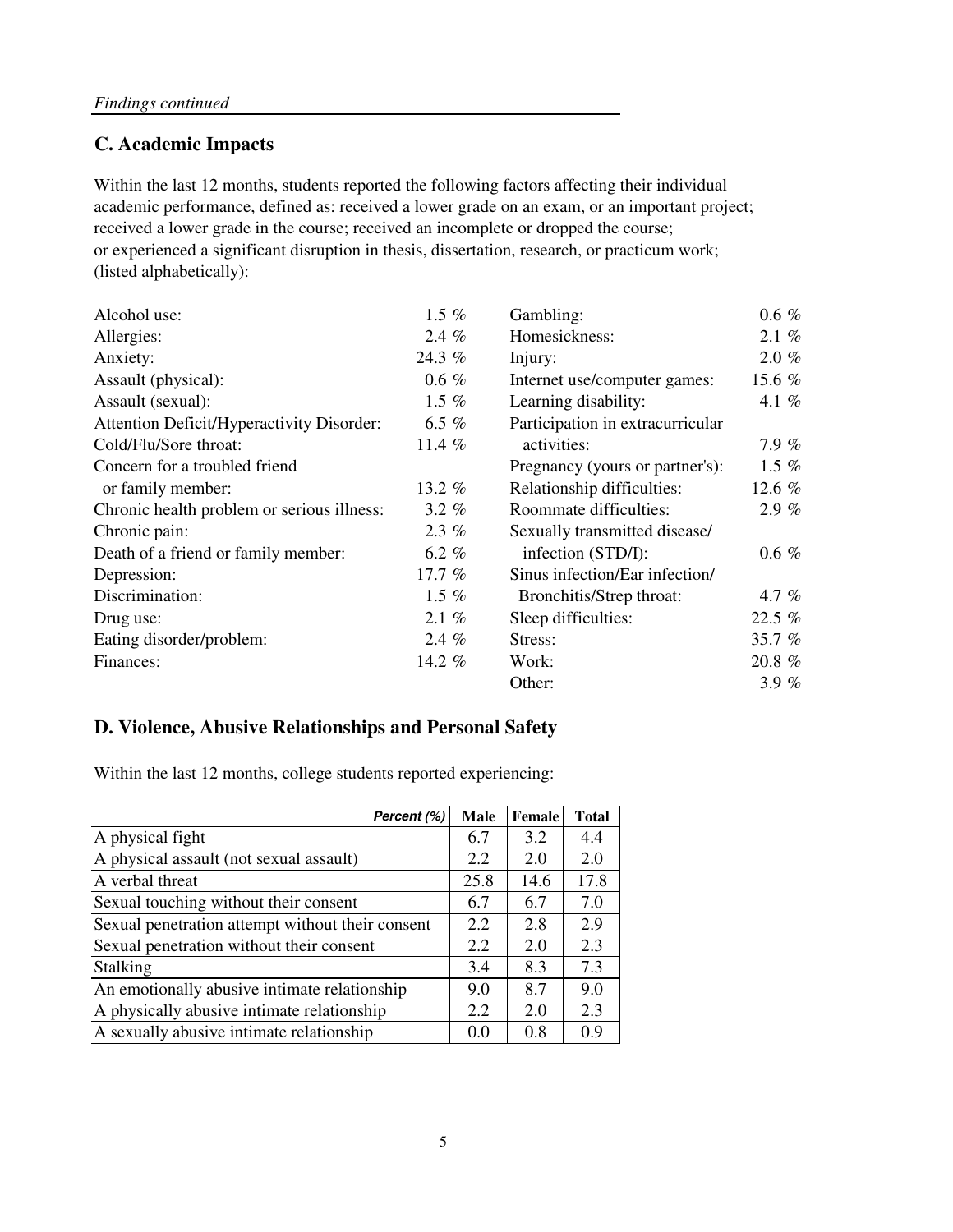### **C. Academic Impacts**

academic performance, defined as: received a lower grade on an exam, or an important project; received a lower grade in the course; received an incomplete or dropped the course; or experienced a significant disruption in thesis, dissertation, research, or practicum work; (listed alphabetically): Within the last 12 months, students reported the following factors affecting their individual

| Alcohol use:                               | 1.5 $%$  | Gambling:                        | $0.6 \%$ |
|--------------------------------------------|----------|----------------------------------|----------|
| Allergies:                                 | 2.4%     | Homesickness:                    | $2.1 \%$ |
| Anxiety:                                   | 24.3 %   | Injury:                          | $2.0 \%$ |
| Assault (physical):                        | $0.6 \%$ | Internet use/computer games:     | 15.6 %   |
| Assault (sexual):                          | 1.5 $%$  | Learning disability:             | 4.1 $%$  |
| Attention Deficit/Hyperactivity Disorder:  | 6.5 $%$  | Participation in extracurricular |          |
| Cold/Flu/Sore throat:                      | 11.4 $%$ | activities:                      | $7.9\%$  |
| Concern for a troubled friend              |          | Pregnancy (yours or partner's):  | 1.5 $%$  |
| or family member:                          | 13.2 %   | Relationship difficulties:       | 12.6 $%$ |
| Chronic health problem or serious illness: | $3.2 \%$ | Roommate difficulties:           | $2.9\%$  |
| Chronic pain:                              | $2.3\%$  | Sexually transmitted disease/    |          |
| Death of a friend or family member:        | 6.2 $%$  | infection (STD/I):               | $0.6 \%$ |
| Depression:                                | 17.7 $%$ | Sinus infection/Ear infection/   |          |
| Discrimination:                            | 1.5 $%$  | Bronchitis/Strep throat:         | 4.7 $%$  |
| Drug use:                                  | 2.1%     | Sleep difficulties:              | 22.5 %   |
| Eating disorder/problem:                   | 2.4 $%$  | Stress:                          | 35.7 %   |
| Finances:                                  | 14.2 %   | Work:                            | 20.8 %   |
|                                            |          | Other:                           | 3.9%     |

#### **D. Violence, Abusive Relationships and Personal Safety**

Within the last 12 months, college students reported experiencing:

| Percent (%)                                      | Male | Female | <b>Total</b> |
|--------------------------------------------------|------|--------|--------------|
| A physical fight                                 | 6.7  | 3.2    | 4.4          |
| A physical assault (not sexual assault)          | 2.2  | 2.0    | 2.0          |
| A verbal threat                                  | 25.8 | 14.6   | 17.8         |
| Sexual touching without their consent            | 6.7  | 6.7    | 7.0          |
| Sexual penetration attempt without their consent | 2.2  | 2.8    | 2.9          |
| Sexual penetration without their consent         | 2.2  | 2.0    | 2.3          |
| Stalking                                         | 3.4  | 8.3    | 7.3          |
| An emotionally abusive intimate relationship     | 9.0  | 8.7    | 9.0          |
| A physically abusive intimate relationship       | 2.2  | 2.0    | 2.3          |
| A sexually abusive intimate relationship         | 0.0  | 0.8    | 0.9          |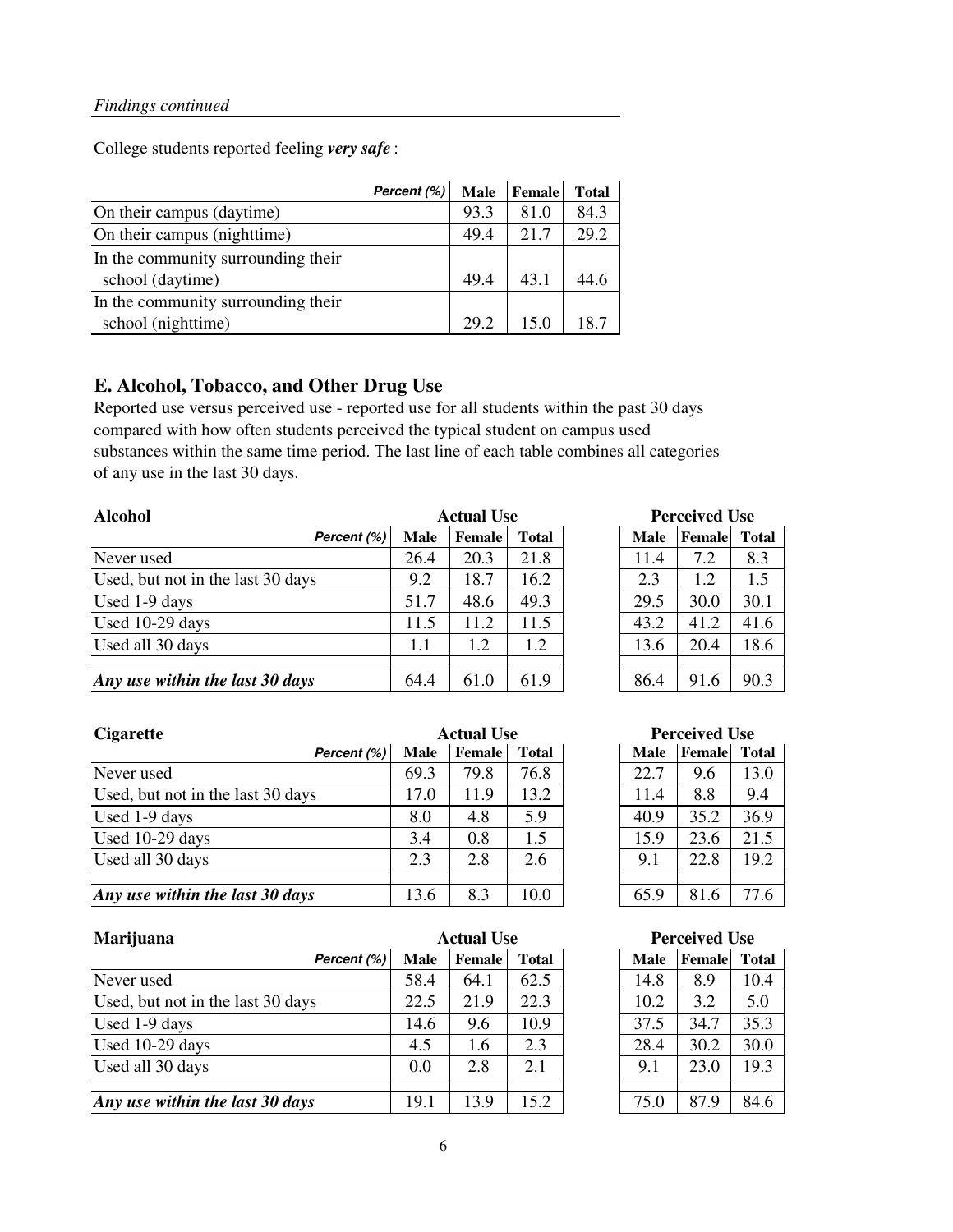College students reported feeling *very safe* :

|                                    | Percent (%) | <b>Male</b> | <b>Female</b> | <b>Total</b> |
|------------------------------------|-------------|-------------|---------------|--------------|
| On their campus (daytime)          |             | 93.3        | 81.0          | 84.3         |
| On their campus (nighttime)        |             | 49.4        | 21.7          | 29.2         |
| In the community surrounding their |             |             |               |              |
| school (daytime)                   |             | 49.4        | 43.1          | 44.6         |
| In the community surrounding their |             |             |               |              |
| school (nighttime)                 |             | 29.2        | 150           | 18.7         |

#### **E. Alcohol, Tobacco, and Other Drug Use**

Reported use versus perceived use - reported use for all students within the past 30 days compared with how often students perceived the typical student on campus used substances within the same time period. The last line of each table combines all categories of any use in the last 30 days.

| <b>Alcohol</b>                    | <b>Actual Use</b> |               |              | <b>Perceived Use</b> |             |        |              |
|-----------------------------------|-------------------|---------------|--------------|----------------------|-------------|--------|--------------|
| Percent (%)                       | <b>Male</b>       | <b>Female</b> | <b>Total</b> |                      | <b>Male</b> | Female | <b>Total</b> |
| Never used                        | 26.4              | 20.3          | 21.8         |                      | 11.4        | 7.2    | 8.3          |
| Used, but not in the last 30 days | 9.2               | 18.7          | 16.2         |                      | 2.3         | 1.2    | 1.5          |
| Used 1-9 days                     | 51.7              | 48.6          | 49.3         |                      | 29.5        | 30.0   | 30.1         |
| Used 10-29 days                   | 11.5              | 11.2          | 11.5         |                      | 43.2        | 41.2   | 41.6         |
| Used all 30 days                  | 1.1               | 1.2           | 1.2          |                      | 13.6        | 20.4   | 18.6         |
| Any use within the last 30 days   | 64.4              | 61.0          | 61.9         |                      | 86.4        | 91.6   | 90.3         |

| <b>Actual Use</b> |              | <b>Perceived Use</b> |             |        |              |  |
|-------------------|--------------|----------------------|-------------|--------|--------------|--|
| Female            | <b>Total</b> |                      | <b>Male</b> | Female | <b>Total</b> |  |
| 20.3              | 21.8         |                      | 11.4        | 7.2    | 8.3          |  |
| 18.7              | 16.2         |                      | 2.3         | 1.2    | 1.5          |  |
| 48.6              | 49.3         |                      | 29.5        | 30.0   | 30.1         |  |
| 11.2              | 11.5         |                      | 43.2        | 41.2   | 41.6         |  |
| 1.2               | 1.2          |                      | 13.6        | 20.4   | 18.6         |  |
|                   |              |                      |             |        |              |  |
| 61.0              | 61.9         |                      |             | 91.6   | 90.3         |  |

| <b>Cigarette</b>                  | <b>Actual Use</b> |               |              | <b>Perceived Use</b> |             |        |              |
|-----------------------------------|-------------------|---------------|--------------|----------------------|-------------|--------|--------------|
| Percent (%)                       | Male              | <b>Female</b> | <b>Total</b> |                      | <b>Male</b> | Female | <b>Total</b> |
| Never used                        | 69.3              | 79.8          | 76.8         |                      | 22.7        | 9.6    | 13.0         |
| Used, but not in the last 30 days | 17.0              | 11.9          | 13.2         |                      | 11.4        | 8.8    | 9.4          |
| Used 1-9 days                     | 8.0               | 4.8           | 5.9          |                      | 40.9        | 35.2   | 36.9         |
| Used 10-29 days                   | 3.4               | 0.8           | 1.5          |                      | 15.9        | 23.6   | 21.5         |
| Used all 30 days                  | 2.3               | 2.8           | 2.6          |                      | 9.1         | 22.8   | 19.2         |
|                                   |                   |               |              |                      |             |        |              |
| Any use within the last 30 days   | 13.6              | 8.3           | 10.0         |                      | 65.9        | 81.6   | 77.6         |

| Marijuana                         | <b>Actual Use</b> |               |              | <b>Perceived Use</b> |             |        |              |
|-----------------------------------|-------------------|---------------|--------------|----------------------|-------------|--------|--------------|
| Percent (%)                       | Male              | <b>Female</b> | <b>Total</b> |                      | <b>Male</b> | Female | <b>Total</b> |
| Never used                        | 58.4              | 64.1          | 62.5         |                      | 14.8        | 8.9    | 10.4         |
| Used, but not in the last 30 days | 22.5              | 21.9          | 22.3         |                      | 10.2        | 3.2    | 5.0          |
| Used 1-9 days                     | 14.6              | 9.6           | 10.9         |                      | 37.5        | 34.7   | 35.3         |
| Used 10-29 days                   | 4.5               | 1.6           | 2.3          |                      | 28.4        | 30.2   | 30.0         |
| Used all 30 days                  | 0.0               | 2.8           | 2.1          |                      | 9.1         | 23.0   | 19.3         |
| Any use within the last 30 days   | 19.1              | 13.9          | 15.2         |                      | 75.0        | 87.9   | 84.6         |

| <b>Perceived Use</b> |                     |      |  |  |  |  |
|----------------------|---------------------|------|--|--|--|--|
| <b>Male</b>          | <b>Female</b> Total |      |  |  |  |  |
| 22.7                 | 9.6                 | 13.0 |  |  |  |  |
| 11.4                 | 8.8                 | 9.4  |  |  |  |  |
| 40.9                 | 35.2                | 36.9 |  |  |  |  |
| 15.9                 | 23.6                | 21.5 |  |  |  |  |
| 9.1                  | 22.8                | 19.2 |  |  |  |  |
|                      |                     |      |  |  |  |  |
| 65.9                 | 81.6                | 77.6 |  |  |  |  |

#### **Perceived Use**

| <b>Male</b> | Female | <b>Total</b> |
|-------------|--------|--------------|
| 14.8        | 8.9    | 10.4         |
| 10.2        | 3.2    | 5.0          |
| 37.5        | 34.7   | 35.3         |
| 28.4        | 30.2   | 30.0         |
| 9.1         | 23.0   | 19.3         |
|             |        |              |
| 75.0        | 87.9   | 84.6         |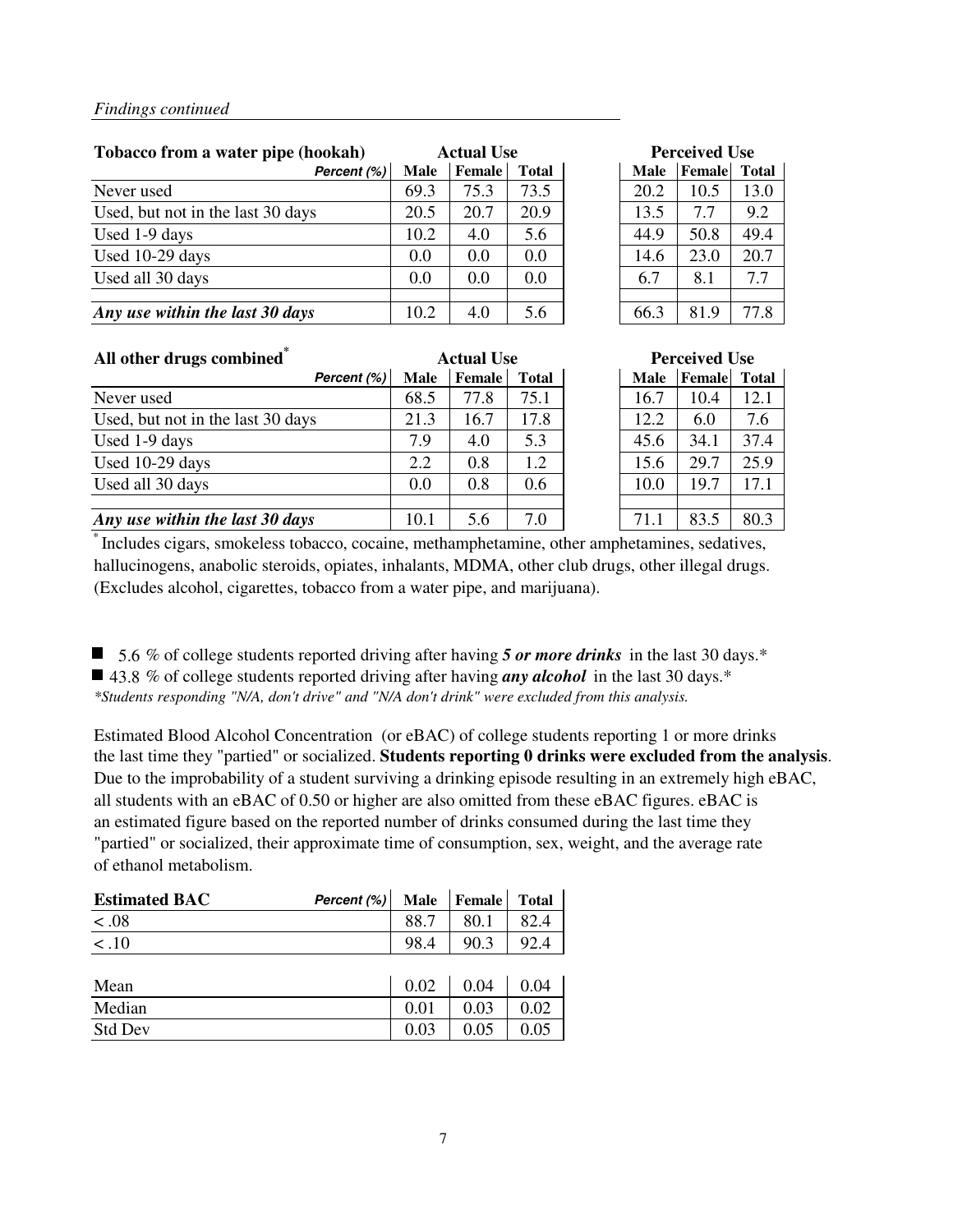| Tobacco from a water pipe (hookah) |             | <b>Actual Use</b> |              |  |             | <b>Perceived Use</b> |              |
|------------------------------------|-------------|-------------------|--------------|--|-------------|----------------------|--------------|
| Percent (%)                        | <b>Male</b> | <b>Female</b>     | <b>Total</b> |  | <b>Male</b> | Female               | <b>Total</b> |
| Never used                         | 69.3        | 75.3              | 73.5         |  | 20.2        | 10.5                 | 13.0         |
| Used, but not in the last 30 days  | 20.5        | 20.7              | 20.9         |  | 13.5        | 7.7                  | 9.2          |
| Used 1-9 days                      | 10.2        | 4.0               | 5.6          |  | 44.9        | 50.8                 | 49.4         |
| Used 10-29 days                    | 0.0         | 0.0               | 0.0          |  | 14.6        | 23.0                 | 20.7         |
| Used all 30 days                   | 0.0         | 0.0               | 0.0          |  | 6.7         | 8.1                  | 7.7          |
|                                    |             |                   |              |  |             |                      |              |
| Any use within the last 30 days    | 10.2        | 4.0               | 5.6          |  | 66.3        | 81.9                 | 77.8         |

| <b>Perceived Use</b> |                     |      |  |  |  |  |
|----------------------|---------------------|------|--|--|--|--|
| <b>Male</b>          | <b>Female</b> Total |      |  |  |  |  |
| 20.2                 | 10.5                | 13.0 |  |  |  |  |
| 13.5                 | 7.7                 | 9.2  |  |  |  |  |
| 44.9                 | 50.8                | 49.4 |  |  |  |  |
| 14.6                 | 23.0                | 20.7 |  |  |  |  |
| 6.7                  | 8.1                 | 7.7  |  |  |  |  |
|                      |                     |      |  |  |  |  |
| 66.3                 | 81.9                | 77.8 |  |  |  |  |

| All other drugs combined <sup>®</sup> |      | <b>Actual Use</b> |              |  | <b>Perceived Use</b> |        |              |  |
|---------------------------------------|------|-------------------|--------------|--|----------------------|--------|--------------|--|
| Percent (%)                           | Male | Female            | <b>Total</b> |  | <b>Male</b>          | Female | <b>Total</b> |  |
| Never used                            | 68.5 | 77.8              | 75.1         |  | 16.7                 | 10.4   | 12.1         |  |
| Used, but not in the last 30 days     | 21.3 | 16.7              | 17.8         |  | 12.2                 | 6.0    | 7.6          |  |
| Used 1-9 days                         | 7.9  | 4.0               | 5.3          |  | 45.6                 | 34.1   | 37.4         |  |
| Used 10-29 days                       | 2.2  | 0.8               | 1.2          |  | 15.6                 | 29.7   | 25.9         |  |
| Used all 30 days                      | 0.0  | 0.8               | 0.6          |  | 10.0                 | 19.7   | 17.1         |  |
|                                       |      |                   |              |  |                      |        |              |  |
| Any use within the last 30 days       | 10.1 | 5.6               | 7.0          |  | 71.1                 | 83.5   | 80.3         |  |

| <b>Actual Use</b> |               |              | <b>Perceived Use</b> |        |              |  |  |
|-------------------|---------------|--------------|----------------------|--------|--------------|--|--|
|                   | <b>Female</b> | <b>Total</b> | <b>Male</b>          | Female | <b>Total</b> |  |  |
|                   | 77.8          | 75.1         | 16.7                 | 10.4   | 12.1         |  |  |
|                   | 16.7          | 17.8         | 12.2                 | 6.0    | 7.6          |  |  |
|                   | 4.0           | 5.3          | 45.6                 | 34.1   | 37.4         |  |  |
|                   | 0.8           | 1.2          | 15.6                 | 29.7   | 25.9         |  |  |
|                   | 0.8           | 0.6          | 10.0                 | 19.7   | 17.1         |  |  |
|                   |               |              |                      |        |              |  |  |
|                   | 5.6           | 7.0          | 71.1                 | 83.5   | 80.3         |  |  |

\* Includes cigars, smokeless tobacco, cocaine, methamphetamine, other amphetamines, sedatives, hallucinogens, anabolic steroids, opiates, inhalants, MDMA, other club drugs, other illegal drugs. (Excludes alcohol, cigarettes, tobacco from a water pipe, and marijuana).

■ 5.6 % of college students reported driving after having 5 or more drinks in the last 30 days.<sup>\*</sup> ■ 43.8 % of college students reported driving after having *any alcohol* in the last 30 days.<sup>\*</sup> *\*Students responding "N/A, don't drive" and "N/A don't drink" were excluded from this analysis.*

Estimated Blood Alcohol Concentration (or eBAC) of college students reporting 1 or more drinks the last time they "partied" or socialized. **Students reporting 0 drinks were excluded from the analysis**. Due to the improbability of a student surviving a drinking episode resulting in an extremely high eBAC, all students with an eBAC of 0.50 or higher are also omitted from these eBAC figures. eBAC is an estimated figure based on the reported number of drinks consumed during the last time they "partied" or socialized, their approximate time of consumption, sex, weight, and the average rate of ethanol metabolism.

| <b>Estimated BAC</b> | Percent (%) | Male | Female | <b>Total</b> |
|----------------------|-------------|------|--------|--------------|
| < .08                |             | 88.7 | 80.1   | 82.4         |
| < 0.10               |             | 98.4 | 90.3   | 92.4         |
|                      |             |      |        |              |
| Mean                 |             | 0.02 | 0.04   | 0.04         |
| Median               |             | 0.01 | 0.03   | 0.02         |
| <b>Std Dev</b>       |             | 0.03 | 0.05   | 0.05         |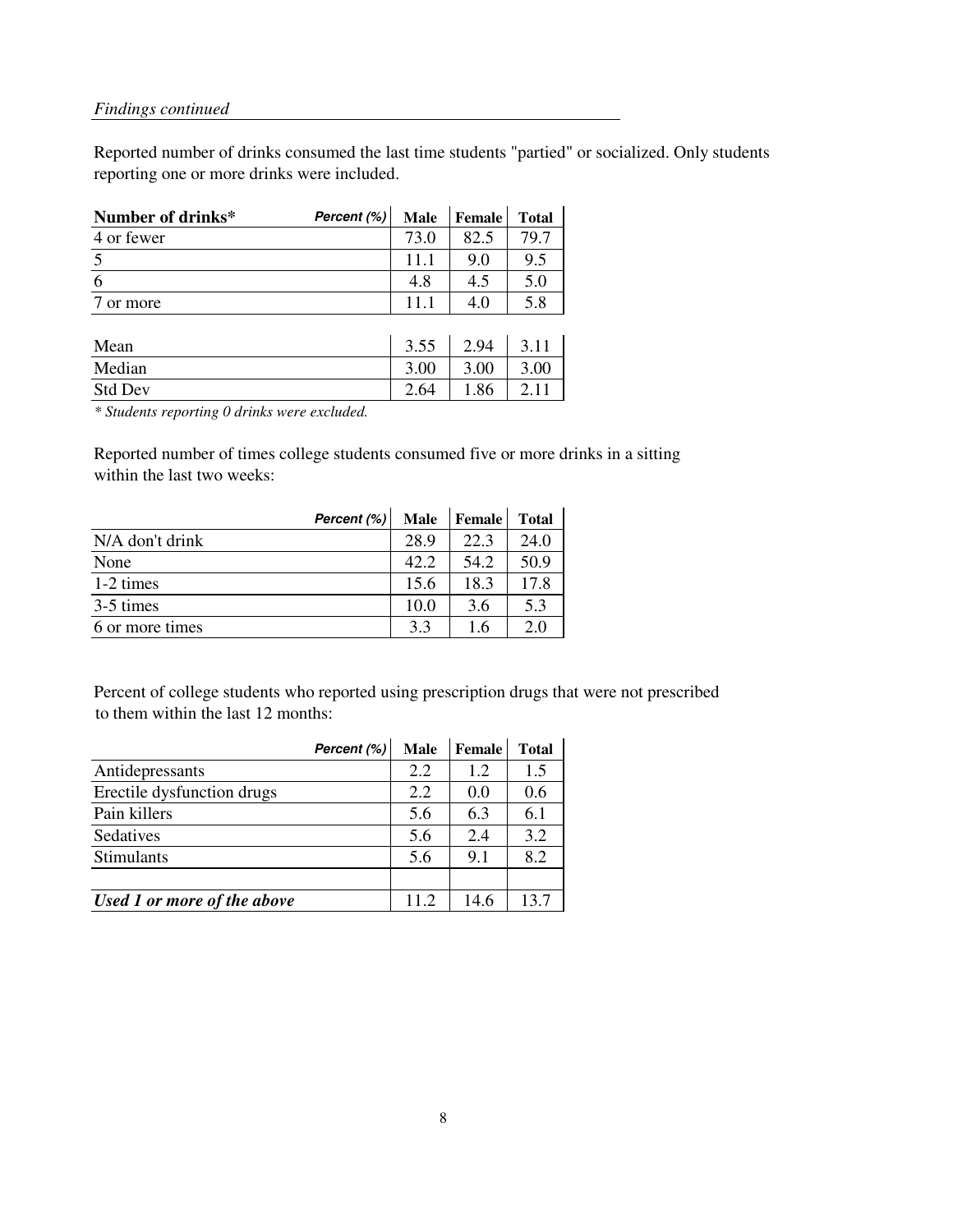Reported number of drinks consumed the last time students "partied" or socialized. Only students reporting one or more drinks were included.

| Number of drinks* | Percent (%) | <b>Male</b> | <b>Female</b> | <b>Total</b> |
|-------------------|-------------|-------------|---------------|--------------|
| 4 or fewer        |             | 73.0        | 82.5          | 79.7         |
| $\overline{5}$    |             | 11.1        | 9.0           | 9.5          |
| 6                 |             | 4.8         | 4.5           | 5.0          |
| or more           |             | 11.1        | 4.0           | 5.8          |
|                   |             |             |               |              |
| Mean              |             | 3.55        | 2.94          | 3.11         |
| Median            |             | 3.00        | 3.00          | 3.00         |
| <b>Std Dev</b>    |             | 2.64        | 1.86          | 2.11         |

*\* Students reporting 0 drinks were excluded.*

Reported number of times college students consumed five or more drinks in a sitting within the last two weeks:

|                 | Percent (%) | <b>Male</b> | Female | <b>Total</b> |
|-----------------|-------------|-------------|--------|--------------|
| N/A don't drink |             | 28.9        | 22.3   | 24.0         |
| None            |             | 42.2        | 54.2   | 50.9         |
| 1-2 times       |             | 15.6        | 18.3   | 17.8         |
| 3-5 times       |             | 10.0        | 3.6    | 5.3          |
| 6 or more times |             | 3.3         | 1.6    | 2.0          |

Percent of college students who reported using prescription drugs that were not prescribed to them within the last 12 months:

|                             | Percent (%) | <b>Male</b> | Female | <b>Total</b> |
|-----------------------------|-------------|-------------|--------|--------------|
| Antidepressants             |             | 2.2         | 1.2    | 1.5          |
| Erectile dysfunction drugs  |             | 2.2         | 0.0    | 0.6          |
| Pain killers                |             | 5.6         | 6.3    | 6.1          |
| Sedatives                   |             | 5.6         | 2.4    | 3.2          |
| Stimulants                  |             | 5.6         | 9.1    | 8.2          |
|                             |             |             |        |              |
| Used 1 or more of the above |             | 11.2        | 14.6   | 13.7         |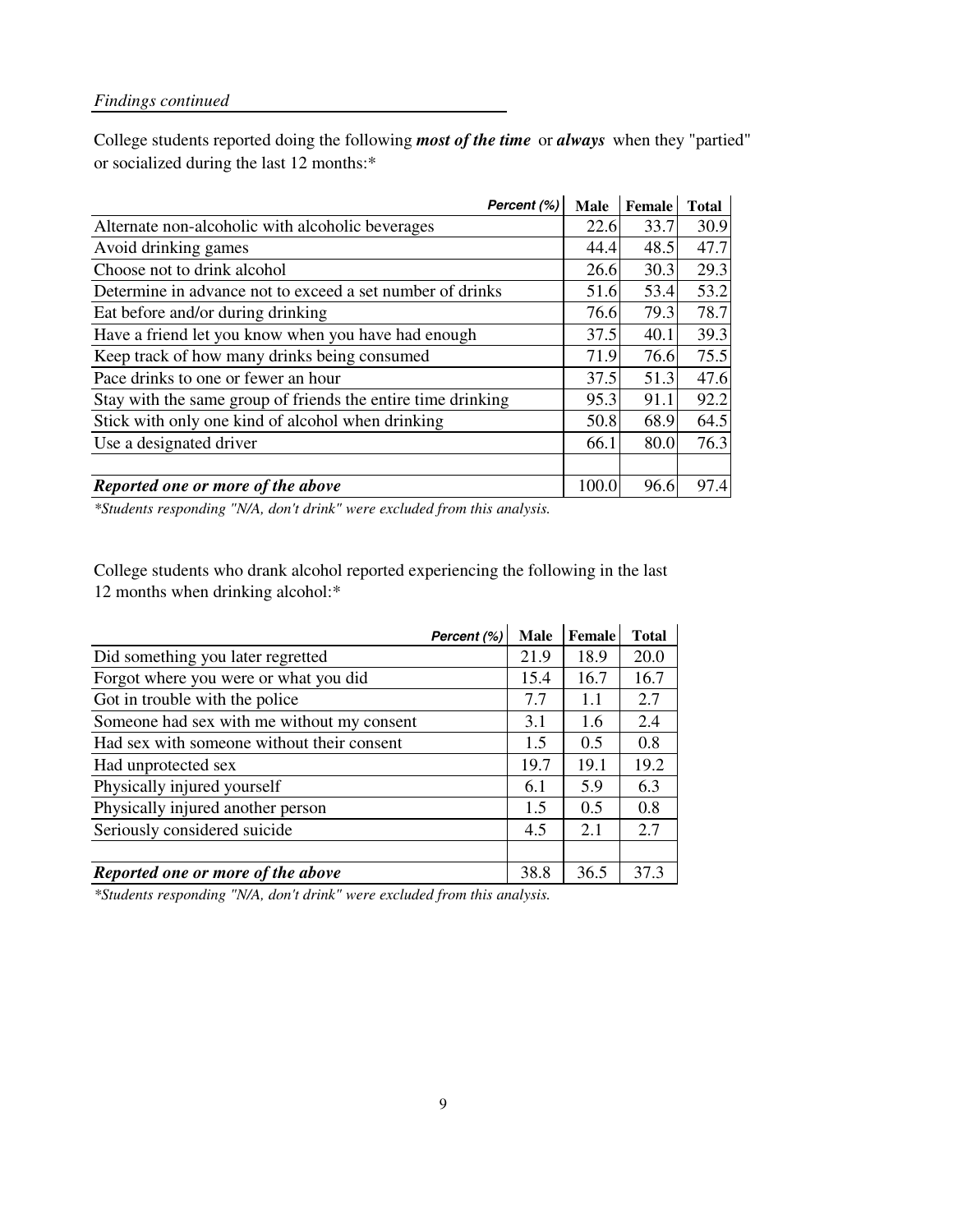College students reported doing the following *most of the time* or *always* when they "partied" or socialized during the last 12 months:\*

| Percent (%)                                                  | Male  | Female | <b>Total</b> |
|--------------------------------------------------------------|-------|--------|--------------|
| Alternate non-alcoholic with alcoholic beverages             | 22.6  | 33.7   | 30.9         |
| Avoid drinking games                                         | 44.4  | 48.5   | 47.7         |
| Choose not to drink alcohol                                  | 26.6  | 30.3   | 29.3         |
| Determine in advance not to exceed a set number of drinks    | 51.6  | 53.4   | 53.2         |
| Eat before and/or during drinking                            | 76.6  | 79.3   | 78.7         |
| Have a friend let you know when you have had enough          | 37.5  | 40.1   | 39.3         |
| Keep track of how many drinks being consumed                 | 71.9  | 76.6   | 75.5         |
| Pace drinks to one or fewer an hour                          | 37.5  | 51.3   | 47.6         |
| Stay with the same group of friends the entire time drinking | 95.3  | 91.1   | 92.2         |
| Stick with only one kind of alcohol when drinking            | 50.8  | 68.9   | 64.5         |
| Use a designated driver                                      | 66.1  | 80.0   | 76.3         |
|                                                              |       |        |              |
| Reported one or more of the above                            | 100.0 | 96.6   | 97.4         |

*\*Students responding "N/A, don't drink" were excluded from this analysis.*

College students who drank alcohol reported experiencing the following in the last 12 months when drinking alcohol:\*

|                                            | Percent (%) | <b>Male</b> | Female | <b>Total</b> |
|--------------------------------------------|-------------|-------------|--------|--------------|
| Did something you later regretted          |             | 21.9        | 18.9   | 20.0         |
| Forgot where you were or what you did      |             | 15.4        | 16.7   | 16.7         |
| Got in trouble with the police             |             | 7.7         | 1.1    | 2.7          |
| Someone had sex with me without my consent |             | 3.1         | 1.6    | 2.4          |
| Had sex with someone without their consent |             | 1.5         | 0.5    | 0.8          |
| Had unprotected sex                        |             | 19.7        | 19.1   | 19.2         |
| Physically injured yourself                |             | 6.1         | 5.9    | 6.3          |
| Physically injured another person          |             | 1.5         | 0.5    | 0.8          |
| Seriously considered suicide               |             | 4.5         | 2.1    | 2.7          |
|                                            |             |             |        |              |
| Reported one or more of the above          |             | 38.8        | 36.5   | 37.3         |

*\*Students responding "N/A, don't drink" were excluded from this analysis.*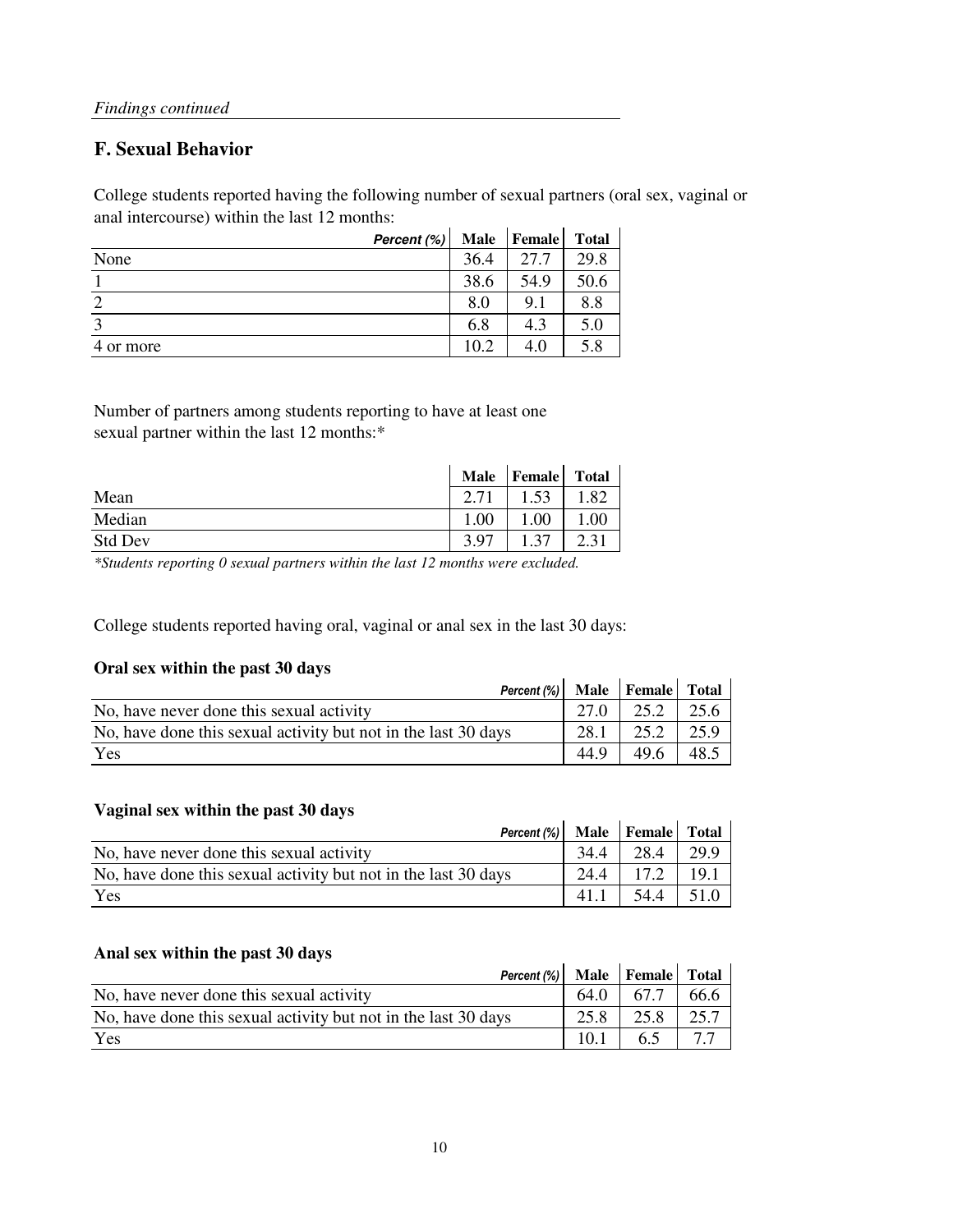### **F. Sexual Behavior**

College students reported having the following number of sexual partners (oral sex, vaginal or anal intercourse) within the last 12 months:

|           | Percent (%) | <b>Male</b> | <b>Female</b> | <b>Total</b> |
|-----------|-------------|-------------|---------------|--------------|
| None      |             | 36.4        | 27.7          | 29.8         |
|           |             | 38.6        | 54.9          | 50.6         |
| ာ         |             | 8.0         | 9.1           | 8.8          |
| 2         |             | 6.8         | 4.3           | 5.0          |
| 4 or more |             | 10.2        | 4.0           | 5.8          |

Number of partners among students reporting to have at least one sexual partner within the last 12 months:\*

|                | <b>Male</b> | Female | Total |
|----------------|-------------|--------|-------|
| Mean           | 2.71        | 1.53   |       |
| Median         | 1.00        | .00    | .00   |
| <b>Std Dev</b> | 3.97        | 37     |       |

*\*Students reporting 0 sexual partners within the last 12 months were excluded.*

College students reported having oral, vaginal or anal sex in the last 30 days:

#### **Oral sex within the past 30 days**

| Percent (%) Male Female Total                                  |              |      |      |
|----------------------------------------------------------------|--------------|------|------|
| No, have never done this sexual activity                       | $27.0 \perp$ | 25.2 | 25.6 |
| No, have done this sexual activity but not in the last 30 days | 28.1         | 25.2 | 25.9 |
| Yes                                                            | 44.9         | 49.6 | 48.5 |

#### **Vaginal sex within the past 30 days**

| vaginal sex within the past 50 days                            |      |      |      |
|----------------------------------------------------------------|------|------|------|
| Percent $(\%)$ Male Female Total                               |      |      |      |
| No, have never done this sexual activity                       | 34.4 | 28.4 | 29.9 |
| No, have done this sexual activity but not in the last 30 days | 24.4 | 17.2 | 19.1 |
| Yes                                                            | 41.1 | 54.4 | 51.0 |

#### **Anal sex within the past 30 days**

| Percent (%) Male Female Total                                  |      |       |      |
|----------------------------------------------------------------|------|-------|------|
| No, have never done this sexual activity                       | 64.0 | 167.7 | 66.6 |
| No, have done this sexual activity but not in the last 30 days | 25.8 | 25.8  | 25.7 |
| Yes                                                            | 10.1 | 6.5   |      |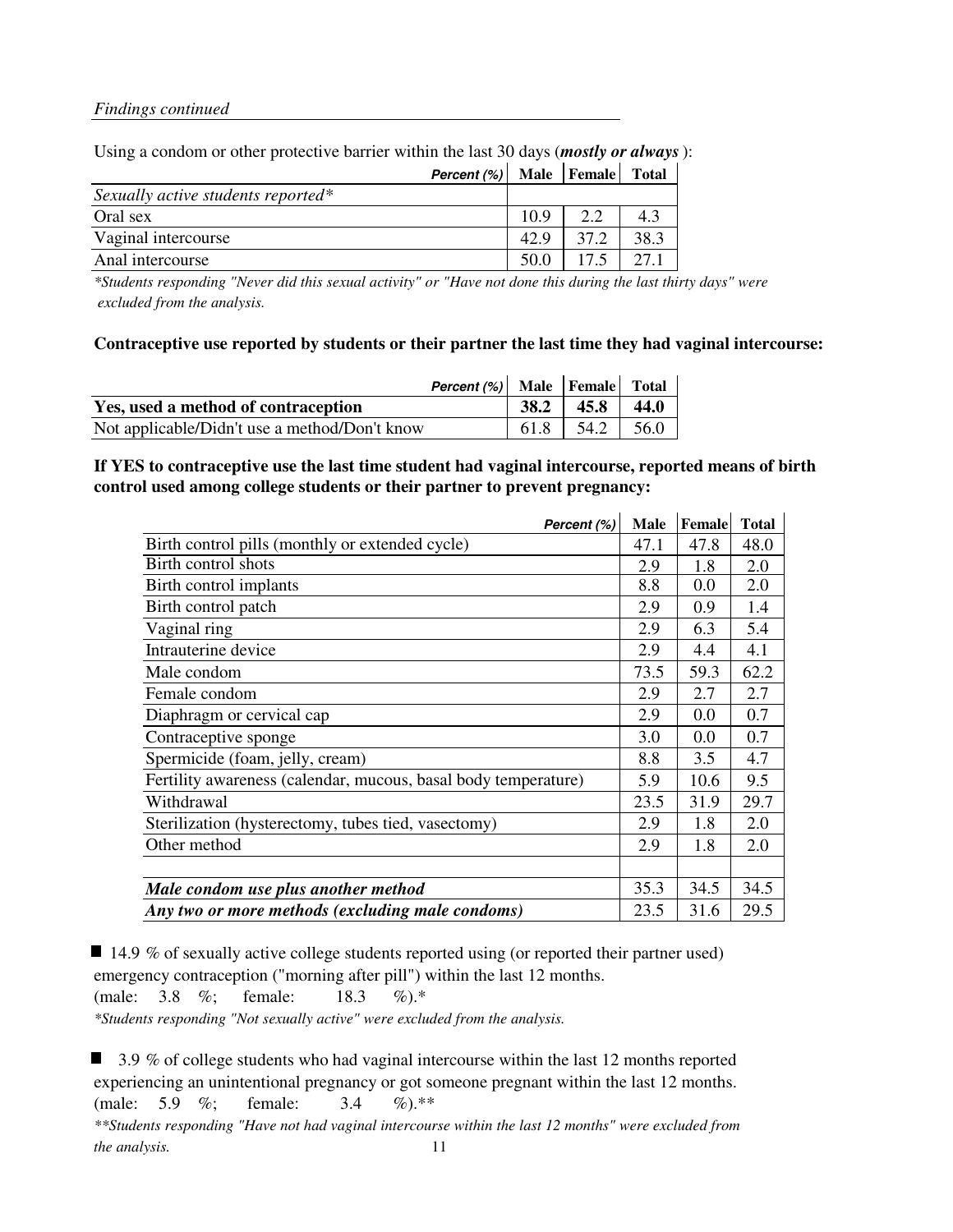|                                    | Percent (%) Male Female Total |      |      |      |
|------------------------------------|-------------------------------|------|------|------|
| Sexually active students reported* |                               |      |      |      |
| Oral sex                           |                               | 10.9 | 2.2  | 4.3  |
| Vaginal intercourse                |                               | 42.9 | 37.2 | 38.3 |
| Anal intercourse                   |                               | 50.0 | 17.5 |      |
|                                    |                               |      |      |      |

#### Using a condom or other protective barrier within the last 30 days (*mostly or always*):

*\*Students responding "Never did this sexual activity" or "Have not done this during the last thirty days" were excluded from the analysis.*

#### **Contraceptive use reported by students or their partner the last time they had vaginal intercourse:**

|                                               | Percent (%) Male Female Total |      |       |      |
|-----------------------------------------------|-------------------------------|------|-------|------|
| Yes, used a method of contraception           |                               | 38.2 | 145.8 | 44.0 |
| Not applicable/Didn't use a method/Don't know |                               | 61.8 | 54.2  | 56.0 |

#### **If YES to contraceptive use the last time student had vaginal intercourse, reported means of birth control used among college students or their partner to prevent pregnancy:**

| Percent (%)                                                    | <b>Male</b> | Female | <b>Total</b> |
|----------------------------------------------------------------|-------------|--------|--------------|
| Birth control pills (monthly or extended cycle)                | 47.1        | 47.8   | 48.0         |
| Birth control shots                                            | 2.9         | 1.8    | 2.0          |
| Birth control implants                                         | 8.8         | 0.0    | 2.0          |
| Birth control patch                                            | 2.9         | 0.9    | 1.4          |
| Vaginal ring                                                   | 2.9         | 6.3    | 5.4          |
| Intrauterine device                                            | 2.9         | 4.4    | 4.1          |
| Male condom                                                    | 73.5        | 59.3   | 62.2         |
| Female condom                                                  | 2.9         | 2.7    | 2.7          |
| Diaphragm or cervical cap                                      | 2.9         | 0.0    | 0.7          |
| Contraceptive sponge                                           | 3.0         | 0.0    | 0.7          |
| Spermicide (foam, jelly, cream)                                | 8.8         | 3.5    | 4.7          |
| Fertility awareness (calendar, mucous, basal body temperature) | 5.9         | 10.6   | 9.5          |
| Withdrawal                                                     | 23.5        | 31.9   | 29.7         |
| Sterilization (hysterectomy, tubes tied, vasectomy)            | 2.9         | 1.8    | 2.0          |
| Other method                                                   | 2.9         | 1.8    | 2.0          |
|                                                                |             |        |              |
| Male condom use plus another method                            | 35.3        | 34.5   | 34.5         |
| Any two or more methods (excluding male condoms)               | 23.5        | 31.6   | 29.5         |

 $\blacksquare$  14.9 % of sexually active college students reported using (or reported their partner used) emergency contraception ("morning after pill") within the last 12 months. (male: 3.8 %; female: 18.3 %).\*

*\*Students responding "Not sexually active" were excluded from the analysis.*

3.9 % of college students who had vaginal intercourse within the last 12 months reported experiencing an unintentional pregnancy or got someone pregnant within the last 12 months. (male: 5.9 %; female: 3.4 %).\*\* *\*\*Students responding "Have not had vaginal intercourse within the last 12 months" were excluded from the analysis.* 11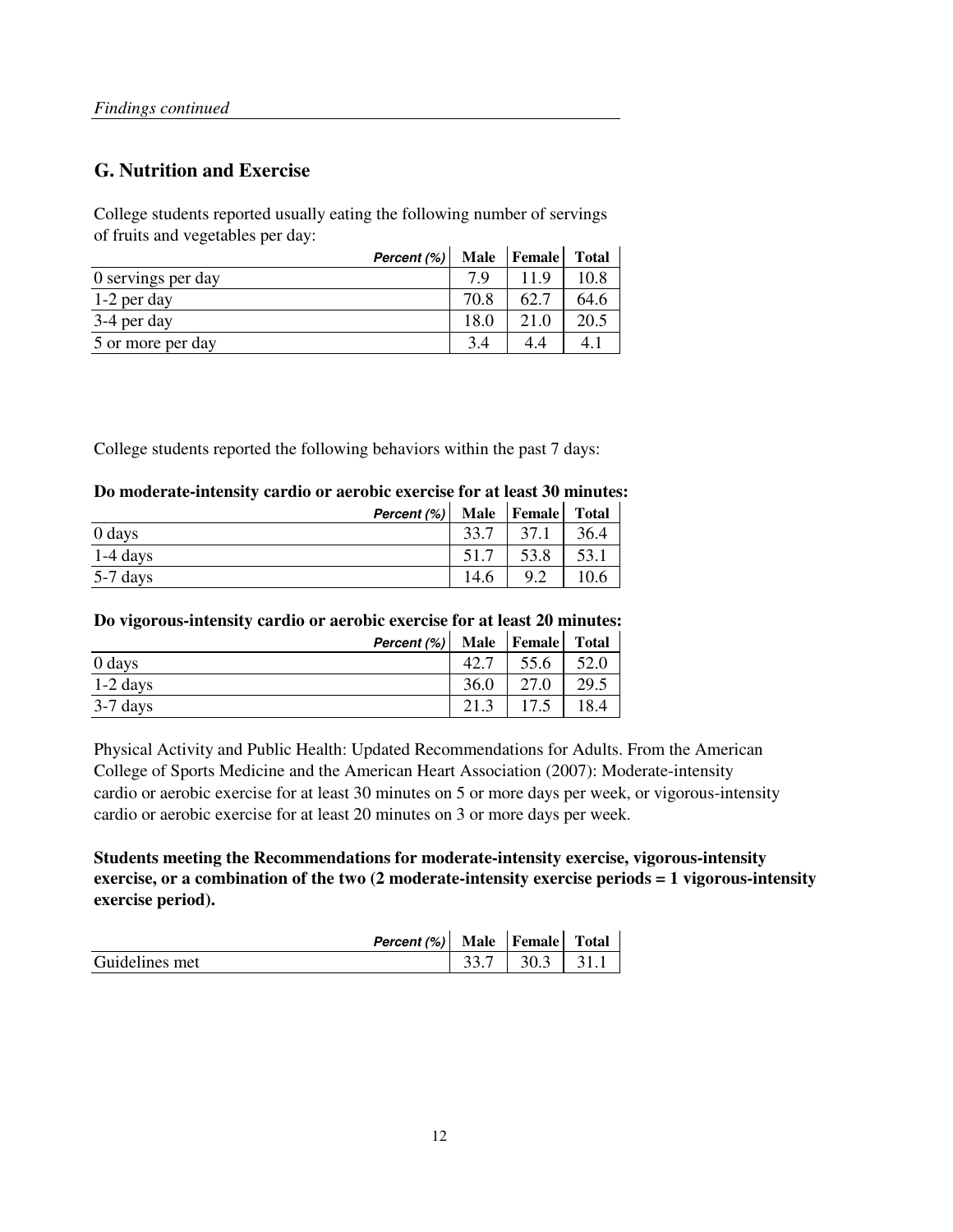### **G. Nutrition and Exercise**

College students reported usually eating the following number of servings of fruits and vegetables per day:

| Percent (%)        |      | Male Female | <b>Total</b> |
|--------------------|------|-------------|--------------|
| 0 servings per day | 79   | 11 Q        | 10.8         |
| 1-2 per day        | 70.8 | 62.         | 64.6         |
| 3-4 per day        | 18.0 | 21.0        | 20.5         |
| 5 or more per day  | 34   |             | 4.           |

College students reported the following behaviors within the past 7 days:

#### **Do moderate-intensity cardio or aerobic exercise for at least 30 minutes:**

|            | Percent (%) |      | Male Female | <b>Total</b> |
|------------|-------------|------|-------------|--------------|
| 0 days     |             | 33.7 | 37.1        | 36.4         |
| $1-4$ days |             |      | 53.8        | 53.1         |
| $5-7$ days |             | 14.6 | 9.2         | 10.6         |

#### **Do vigorous-intensity cardio or aerobic exercise for at least 20 minutes:**

|            | Percent (%) |      | Male Female Total |      |
|------------|-------------|------|-------------------|------|
| 0 days     |             | 42.7 | 55.6              | 52.0 |
| $1-2$ days |             | 36.0 | 27.0              | 29.5 |
| $3-7$ days |             | 21.3 |                   | 18.4 |

Physical Activity and Public Health: Updated Recommendations for Adults. From the American College of Sports Medicine and the American Heart Association (2007): Moderate-intensity cardio or aerobic exercise for at least 30 minutes on 5 or more days per week, or vigorous-intensity cardio or aerobic exercise for at least 20 minutes on 3 or more days per week.

**Students meeting the Recommendations for moderate-intensity exercise, vigorous-intensity exercise, or a combination of the two (2 moderate-intensity exercise periods = 1 vigorous-intensity exercise period).**

|                | Percent (%) Male Female |                          | <b>Total</b> |
|----------------|-------------------------|--------------------------|--------------|
| Guidelines met |                         | $33.7$   $30.3$   $31.1$ |              |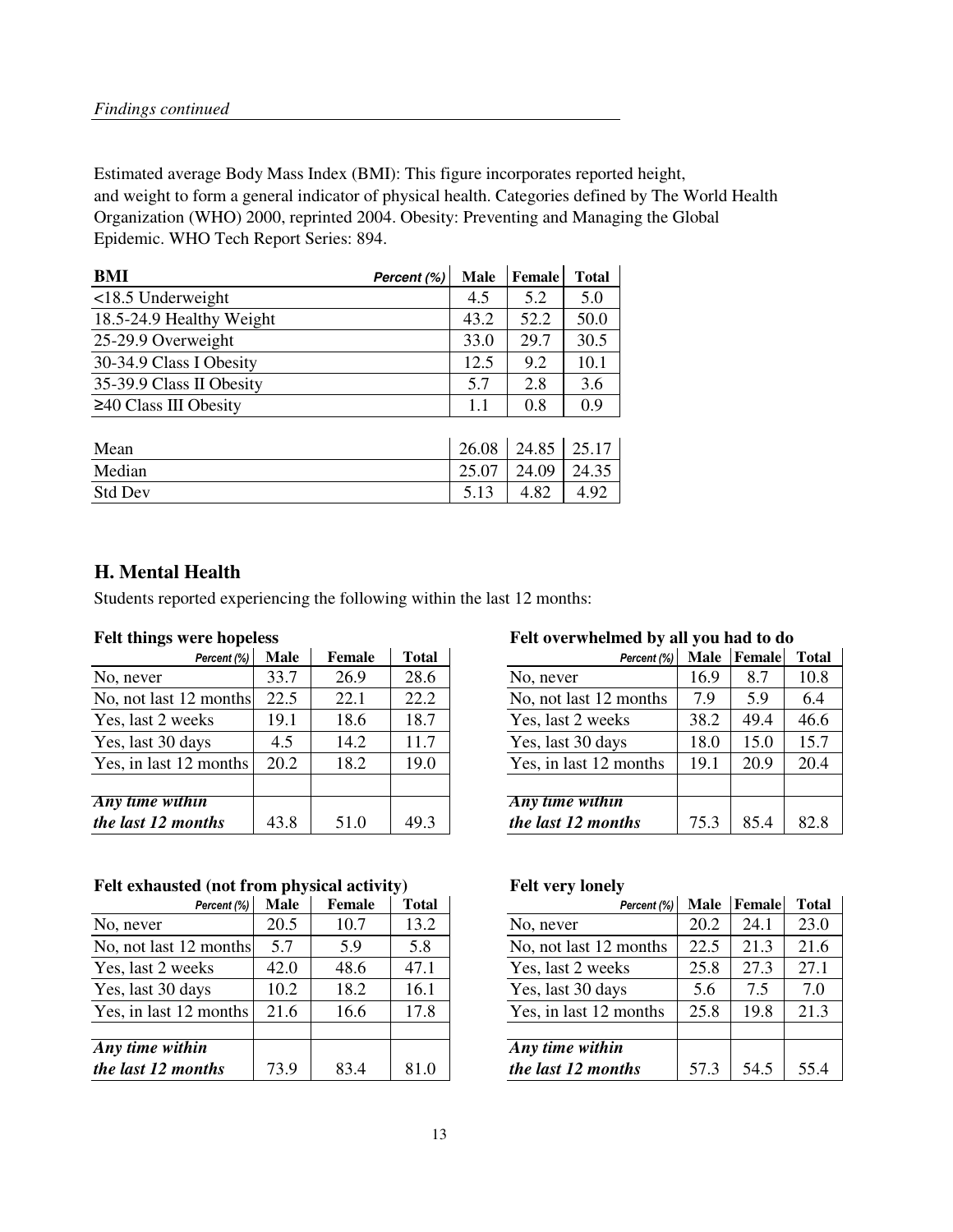Estimated average Body Mass Index (BMI): This figure incorporates reported height, and weight to form a general indicator of physical health. Categories defined by The World Health Organization (WHO) 2000, reprinted 2004. Obesity: Preventing and Managing the Global Epidemic. WHO Tech Report Series: 894.

| <b>BMI</b><br>Percent (%)   | Male  | <b>Female</b> | <b>Total</b> |
|-----------------------------|-------|---------------|--------------|
| $<$ 18.5 Underweight        | 4.5   | 5.2           | 5.0          |
| 18.5-24.9 Healthy Weight    | 43.2  | 52.2          | 50.0         |
| 25-29.9 Overweight          | 33.0  | 29.7          | 30.5         |
| 30-34.9 Class I Obesity     | 12.5  | 9.2           | 10.1         |
| 35-39.9 Class II Obesity    | 5.7   | 2.8           | 3.6          |
| $\geq$ 40 Class III Obesity | 1.1   | 0.8           | 0.9          |
|                             |       |               |              |
| Mean                        | 26.08 | 24.85         | 25.17        |
| Median                      | 25.07 | 24.09         | 24.35        |
| <b>Std Dev</b>              | 5.13  | 4.82          | 4.92         |

### **H. Mental Health**

Students reported experiencing the following within the last 12 months:

| Percent (%)            | <b>Male</b> | Female | <b>Total</b> | Percent (%)            | <b>Male</b> | Female | Total |
|------------------------|-------------|--------|--------------|------------------------|-------------|--------|-------|
| No, never              | 33.7        | 26.9   | 28.6         | No, never              | 16.9        | 8.7    | 10.8  |
| No, not last 12 months | 22.5        | 22.1   | 22.2         | No, not last 12 months | 7.9         | 5.9    | 6.4   |
| Yes, last 2 weeks      | 19.1        | 18.6   | 18.7         | Yes, last 2 weeks      | 38.2        | 49.4   | 46.6  |
| Yes, last 30 days      | 4.5         | 14.2   | 11.7         | Yes, last 30 days      | 18.0        | 15.0   | 15.7  |
| Yes, in last 12 months | 20.2        | 18.2   | 19.0         | Yes, in last 12 months | 19.1        | 20.9   | 20.4  |
|                        |             |        |              |                        |             |        |       |
| <b>Any</b> time within |             |        |              | Any time within        |             |        |       |
| the last 12 months     | 43.8        | 51.0   | 49.3         | the last 12 months     | 75.3        | 85.4   | 82.8  |

#### Felt exhausted (not from physical activity) Felt very lonely

| Percent (%)            | <b>Male</b> | Female | <b>Total</b> | Percent (%)            | Male | Female | Total |
|------------------------|-------------|--------|--------------|------------------------|------|--------|-------|
| No, never              | 20.5        | 10.7   | 13.2         | No, never              | 20.2 | 24.1   | 23.0  |
| No, not last 12 months | 5.7         | 5.9    | 5.8          | No, not last 12 months | 22.5 | 21.3   | 21.6  |
| Yes, last 2 weeks      | 42.0        | 48.6   | 47.1         | Yes, last 2 weeks      | 25.8 | 27.3   | 27.1  |
| Yes, last 30 days      | 10.2        | 18.2   | 16.1         | Yes, last 30 days      | 5.6  | 7.5    | 7.0   |
| Yes, in last 12 months | 21.6        | 16.6   | 17.8         | Yes, in last 12 months | 25.8 | 19.8   | 21.3  |
|                        |             |        |              |                        |      |        |       |
| Any time within        |             |        |              | Any time within        |      |        |       |
| the last 12 months     | 73.9        | 83.4   | 81.0         | the last 12 months     | 57.3 | 54.5   | 55.4  |

#### **Felt things were hopeless Felt overwhelmed by all you had to do**

| Percent (%) | Male | Female | <b>Total</b> | Percent (%)            | <b>Male</b> | Female | <b>Total</b> |
|-------------|------|--------|--------------|------------------------|-------------|--------|--------------|
|             | 33.7 | 26.9   | 28.6         | No, never              | 16.9        | 8.7    | 10.8         |
| months      | 22.5 | 22.1   | 22.2         | No, not last 12 months | 7.9         | 5.9    | 6.4          |
| eks         | 19.1 | 18.6   | 18.7         | Yes, last 2 weeks      | 38.2        | 49.4   | 46.6         |
| ys          | 4.5  | 14.2   | 11.7         | Yes, last 30 days      | 18.0        | 15.0   | 15.7         |
| months      | 20.2 | 18.2   | 19.0         | Yes, in last 12 months | 19.1        | 20.9   | 20.4         |
|             |      |        |              |                        |             |        |              |
| in          |      |        |              | Any time within        |             |        |              |
| nths        | 43.8 | 51.0   | 49.3         | the last 12 months     | 75.3        | 85.4   | 82.8         |
|             |      |        |              |                        |             |        |              |

| Percent (%)               | <b>Male</b> | <b>Female</b> | <b>Total</b> | Percent (%)            | <b>Male</b> | Female | <b>Total</b> |
|---------------------------|-------------|---------------|--------------|------------------------|-------------|--------|--------------|
|                           | 20.5        | 10.7          | 13.2         | No, never              | 20.2        | 24.1   | 23.0         |
| months                    | 5.7         | 5.9           | 5.8          | No, not last 12 months | 22.5        | 21.3   | 21.6         |
| eks                       | 42.0        | 48.6          | 47.1         | Yes, last 2 weeks      | 25.8        | 27.3   | 27.1         |
| ys                        | 10.2        | 18.2          | 16.1         | Yes, last 30 days      | 5.6         | 7.5    | 7.0          |
| months                    | 21.6        | 16.6          | 17.8         | Yes, in last 12 months | 25.8        | 19.8   | 21.3         |
|                           |             |               |              |                        |             |        |              |
| $\overline{\mathfrak{m}}$ |             |               |              | Any time within        |             |        |              |
| nths                      | 73.9        | 83.4          | 81.0         | the last 12 months     | 57.3        | 54.5   | 55.4         |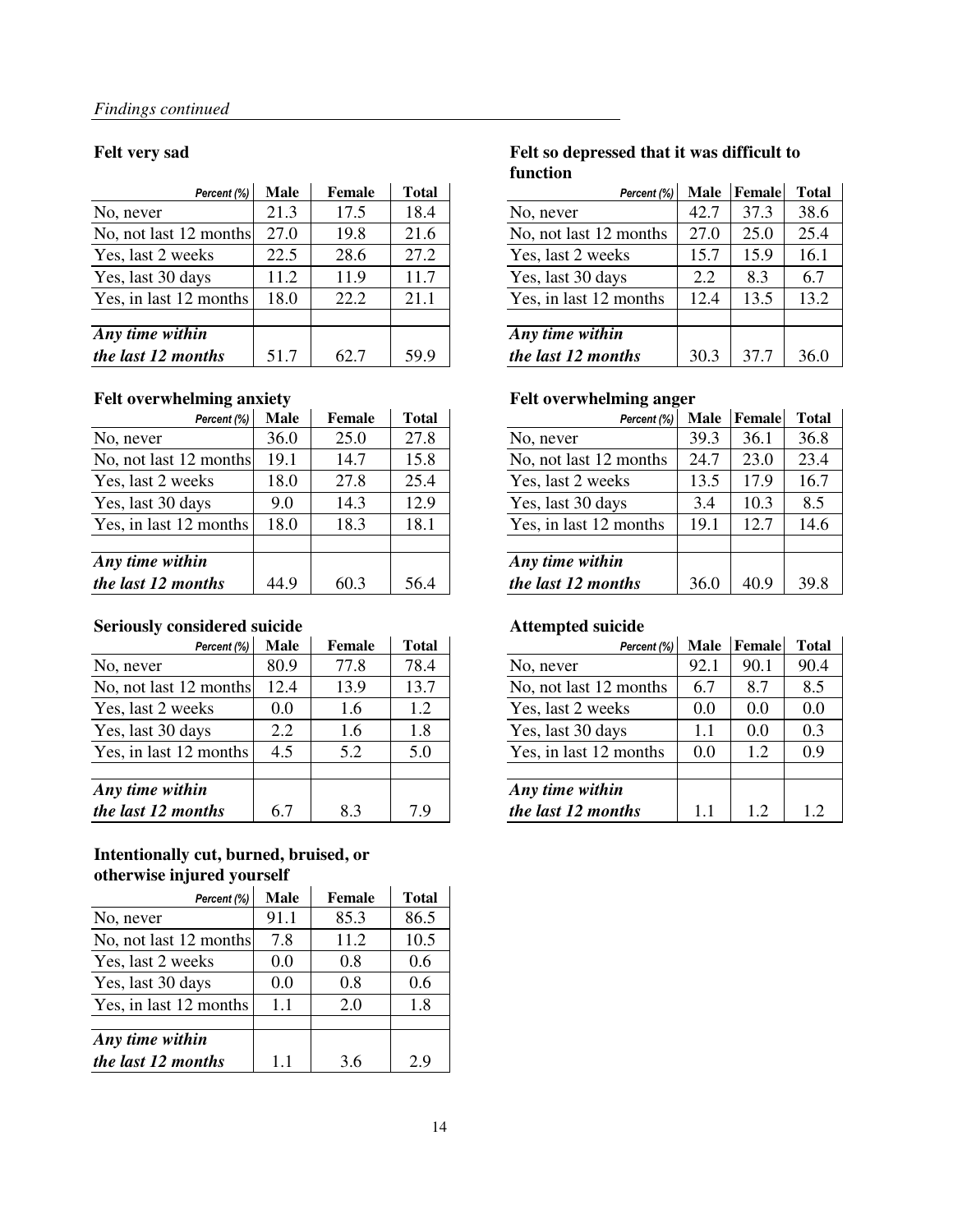| Percent (%)                        | <b>Male</b> | <b>Female</b> | <b>Total</b> | Percent (%)            | <b>Male</b> | Female | Total |
|------------------------------------|-------------|---------------|--------------|------------------------|-------------|--------|-------|
| No, never                          | 21.3        | 17.5          | 18.4         | No, never              | 42.7        | 37.3   | 38.6  |
| No, not last 12 months             | 27.0        | 19.8          | 21.6         | No, not last 12 months | 27.0        | 25.0   | 25.4  |
| Yes, last 2 weeks                  | 22.5        | 28.6          | 27.2         | Yes, last 2 weeks      | 15.7        | 15.9   | 16.1  |
| Yes, last 30 days                  | 11.2        | 11.9          | 11.7         | Yes, last 30 days      | 2.2         | 8.3    | 6.7   |
| Yes, in last 12 months             | 18.0        | 22.2          | 21.1         | Yes, in last 12 months | 12.4        | 13.5   | 13.2  |
|                                    |             |               |              |                        |             |        |       |
| $\overline{Any \, time \, within}$ |             |               |              | Any time within        |             |        |       |
| the last 12 months                 | 51.7        | 62.7          | 59.9         | the last 12 months     | 30.3        | 37.7   | 36.0  |

#### Felt overwhelming anxiety **Felt overwhelming anger**

| Percent (%)            | <b>Male</b> | Female | <b>Total</b> | Percent (%)            | <b>Male</b> | Female | Total |
|------------------------|-------------|--------|--------------|------------------------|-------------|--------|-------|
| No, never              | 36.0        | 25.0   | 27.8         | No, never              | 39.3        | 36.1   | 36.8  |
| No, not last 12 months | 19.1        | 14.7   | 15.8         | No, not last 12 months | 24.7        | 23.0   | 23.4  |
| Yes, last 2 weeks      | 18.0        | 27.8   | 25.4         | Yes, last 2 weeks      | 13.5        | 17.9   | 16.7  |
| Yes, last 30 days      | 9.0         | 14.3   | 12.9         | Yes, last 30 days      | 3.4         | 10.3   | 8.5   |
| Yes, in last 12 months | 18.0        | 18.3   | 18.1         | Yes, in last 12 months | 19.1        | 12.7   | 14.6  |
|                        |             |        |              |                        |             |        |       |
| Any time within        |             |        |              | Any time within        |             |        |       |
| the last 12 months     | 44.9        | 60.3   | 56.4         | the last 12 months     | 36.0        | 40.9   | 39.8  |

#### **Seriously considered suicide Attempted suicide**

| Percent (%)            | <b>Male</b> | Female | <b>Total</b> | Percent (%)            | <b>Male</b> | Female | Total |
|------------------------|-------------|--------|--------------|------------------------|-------------|--------|-------|
| No, never              | 80.9        | 77.8   | 78.4         | No, never              | 92.1        | 90.1   | 90.4  |
| No, not last 12 months | 12.4        | 13.9   | 13.7         | No, not last 12 months | 6.7         | 8.7    | 8.5   |
| Yes, last 2 weeks      | 0.0         | 1.6    | 1.2          | Yes, last 2 weeks      | 0.0         | 0.0    | 0.0   |
| Yes, last 30 days      | 2.2         | 1.6    | 1.8          | Yes, last 30 days      | 1.1         | 0.0    | 0.3   |
| Yes, in last 12 months | 4.5         | 5.2    | 5.0          | Yes, in last 12 months | 0.0         | 1.2    | 0.9   |
| Any time within        |             |        |              | Any time within        |             |        |       |
| the last 12 months     | 6.7         | 8.3    | 7.9          | the last 12 months     | 1.1         | 1.2    | 1.2   |

#### **Intentionally cut, burned, bruised, or otherwise injured yourself** i.

| Percent (%)            | Male | Female | <b>Total</b> |
|------------------------|------|--------|--------------|
| No, never              | 91.1 | 85.3   | 86.5         |
| No, not last 12 months | 7.8  | 11.2   | 10.5         |
| Yes, last 2 weeks      | 0.0  | 0.8    | 0.6          |
| Yes, last 30 days      | 0.0  | 0.8    | 0.6          |
| Yes, in last 12 months | 1.1  | 2.0    | 1.8          |
|                        |      |        |              |
| Any time within        |      |        |              |
| the last 12 months     | 1.1  | 3.6    | 2.9          |

#### **Felt very sad Felt so depressed that it was difficult to function**

| Percent (%)             | <b>Male</b> | <b>Female</b> | <b>Total</b> | Percent (%)            | <b>Male</b> | Female | <b>Total</b> |
|-------------------------|-------------|---------------|--------------|------------------------|-------------|--------|--------------|
|                         | 21.3        | 17.5          | 18.4         | No, never              | 42.7        | 37.3   | 38.6         |
| months                  | 27.0        | 19.8          | 21.6         | No, not last 12 months | 27.0        | 25.0   | 25.4         |
| eks                     | 22.5        | 28.6          | 27.2         | Yes, last 2 weeks      | 15.7        | 15.9   | 16.1         |
| ys                      | 11.2        | 11.9          | 11.7         | Yes, last 30 days      | 2.2         | 8.3    | 6.7          |
| months                  | 18.0        | 22.2          | 21.1         | Yes, in last 12 months | 12.4        | 13.5   | 13.2         |
|                         |             |               |              |                        |             |        |              |
| $\overline{\mathbf{m}}$ |             |               |              | Any time within        |             |        |              |
| nths                    | 51.7        | 62.7          | 59.9         | the last 12 months     | 30.3        | 37.7   | 36.0         |

| Percent (%)             | <b>Male</b> | <b>Female</b> | <b>Total</b> | Percent (%)            | <b>Male</b> | Female | <b>Total</b> |
|-------------------------|-------------|---------------|--------------|------------------------|-------------|--------|--------------|
|                         | 36.0        | 25.0          | 27.8         | No, never              | 39.3        | 36.1   | 36.8         |
| months                  | 19.1        | 14.7          | 15.8         | No, not last 12 months | 24.7        | 23.0   | 23.4         |
| eks                     | 18.0        | 27.8          | 25.4         | Yes, last 2 weeks      | 13.5        | 17.9   | 16.7         |
| ys                      | 9.0         | 14.3          | 12.9         | Yes, last 30 days      | 3.4         | 10.3   | 8.5          |
| months                  | 18.0        | 18.3          | 18.1         | Yes, in last 12 months | 19.1        | 12.7   | 14.6         |
|                         |             |               |              |                        |             |        |              |
| $\overline{\mathbf{m}}$ |             |               |              | Any time within        |             |        |              |
| nths                    | 44.9        | 60.3          | 56.4         | the last 12 months     | 36.0        | 40.9   | 39.8         |

| Percent (%) | <b>Male</b> | <b>Female</b> | <b>Total</b> | Percent (%)            | <b>Male</b> | <b>Female</b> | <b>Total</b> |
|-------------|-------------|---------------|--------------|------------------------|-------------|---------------|--------------|
|             | 80.9        | 77.8          | 78.4         | No, never              | 92.1        | 90.1          | 90.4         |
| months      | 12.4        | 13.9          | 13.7         | No, not last 12 months | 6.7         | 8.7           | 8.5          |
| eks         | $0.0\,$     | 1.6           | 1.2          | Yes, last 2 weeks      | 0.0         | 0.0           | 0.0          |
| ys          | 2.2         | 1.6           | 1.8          | Yes, last 30 days      | 1.1         | 0.0           | 0.3          |
| months      | 4.5         | 5.2           | 5.0          | Yes, in last 12 months | 0.0         | 1.2           | 0.9          |
|             |             |               |              |                        |             |               |              |
| in          |             |               |              | Any time within        |             |               |              |
| nths        | 6.7         | 8.3           | 7.9          | the last 12 months     |             | 1.2           | 12           |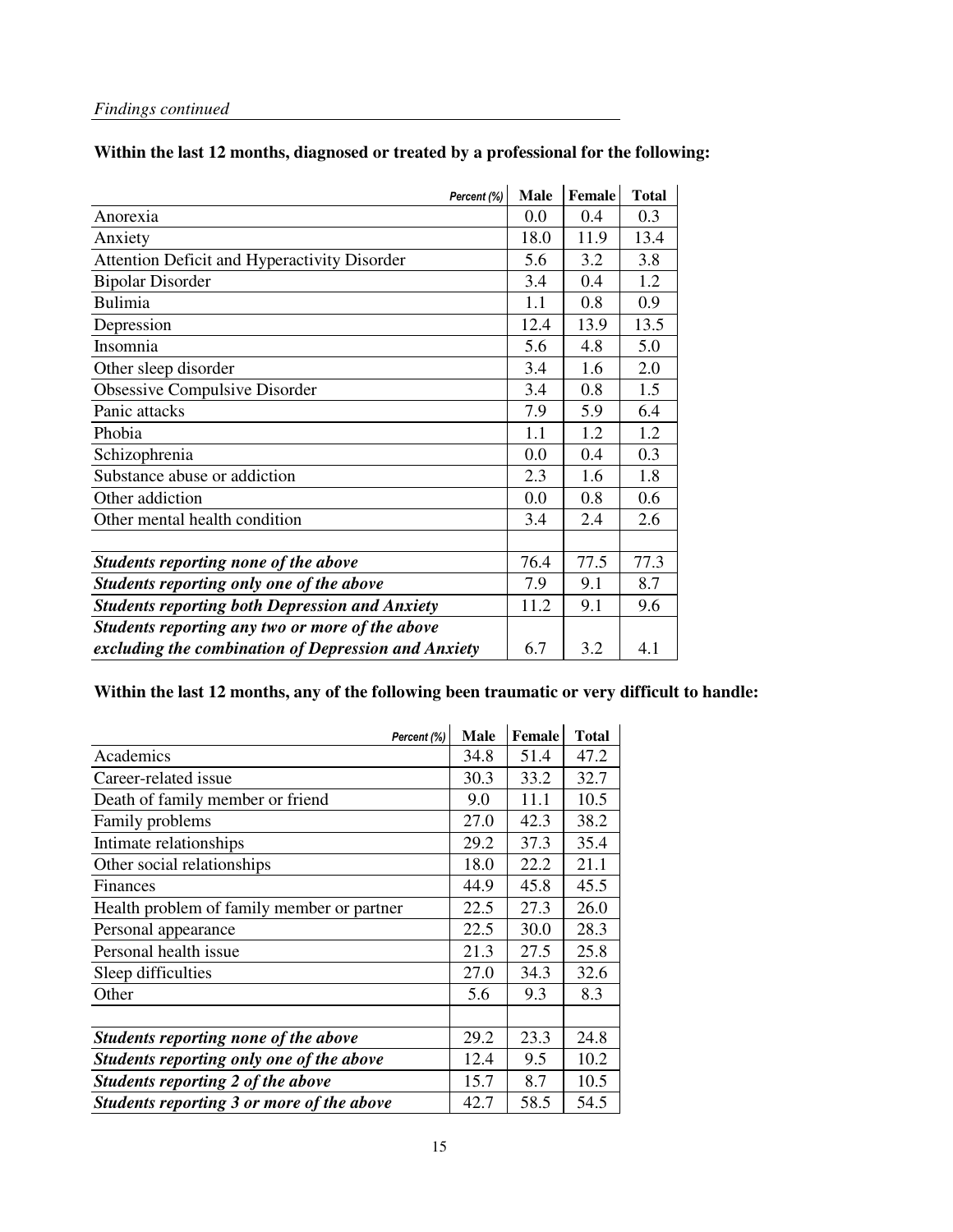### **Within the last 12 months, diagnosed or treated by a professional for the following:**

| Percent (%)                                           | <b>Male</b> | <b>Female</b> | <b>Total</b> |
|-------------------------------------------------------|-------------|---------------|--------------|
| Anorexia                                              | 0.0         | 0.4           | 0.3          |
| Anxiety                                               | 18.0        | 11.9          | 13.4         |
| Attention Deficit and Hyperactivity Disorder          | 5.6         | 3.2           | 3.8          |
| <b>Bipolar Disorder</b>                               | 3.4         | 0.4           | 1.2          |
| <b>Bulimia</b>                                        | 1.1         | 0.8           | 0.9          |
| Depression                                            | 12.4        | 13.9          | 13.5         |
| Insomnia                                              | 5.6         | 4.8           | 5.0          |
| Other sleep disorder                                  | 3.4         | 1.6           | 2.0          |
| Obsessive Compulsive Disorder                         | 3.4         | 0.8           | 1.5          |
| Panic attacks                                         | 7.9         | 5.9           | 6.4          |
| Phobia                                                | 1.1         | 1.2           | 1.2          |
| Schizophrenia                                         | 0.0         | 0.4           | 0.3          |
| Substance abuse or addiction                          | 2.3         | 1.6           | 1.8          |
| Other addiction                                       | 0.0         | 0.8           | 0.6          |
| Other mental health condition                         | 3.4         | 2.4           | 2.6          |
|                                                       |             |               |              |
| Students reporting none of the above                  | 76.4        | 77.5          | 77.3         |
| Students reporting only one of the above              | 7.9         | 9.1           | 8.7          |
| <b>Students reporting both Depression and Anxiety</b> | 11.2        | 9.1           | 9.6          |
| Students reporting any two or more of the above       |             |               |              |
| excluding the combination of Depression and Anxiety   | 6.7         | 3.2           | 4.1          |

#### **Within the last 12 months, any of the following been traumatic or very difficult to handle:**

| Percent (%)                                | <b>Male</b> | Female | <b>Total</b> |
|--------------------------------------------|-------------|--------|--------------|
| Academics                                  | 34.8        | 51.4   | 47.2         |
| Career-related issue                       | 30.3        | 33.2   | 32.7         |
| Death of family member or friend           | 9.0         | 11.1   | 10.5         |
| Family problems                            | 27.0        | 42.3   | 38.2         |
| Intimate relationships                     | 29.2        | 37.3   | 35.4         |
| Other social relationships                 | 18.0        | 22.2   | 21.1         |
| Finances                                   | 44.9        | 45.8   | 45.5         |
| Health problem of family member or partner | 22.5        | 27.3   | 26.0         |
| Personal appearance                        | 22.5        | 30.0   | 28.3         |
| Personal health issue                      | 21.3        | 27.5   | 25.8         |
| Sleep difficulties                         | 27.0        | 34.3   | 32.6         |
| Other                                      | 5.6         | 9.3    | 8.3          |
|                                            |             |        |              |
| Students reporting none of the above       | 29.2        | 23.3   | 24.8         |
| Students reporting only one of the above   | 12.4        | 9.5    | 10.2         |
| Students reporting 2 of the above          | 15.7        | 8.7    | 10.5         |
| Students reporting 3 or more of the above  | 42.7        | 58.5   | 54.5         |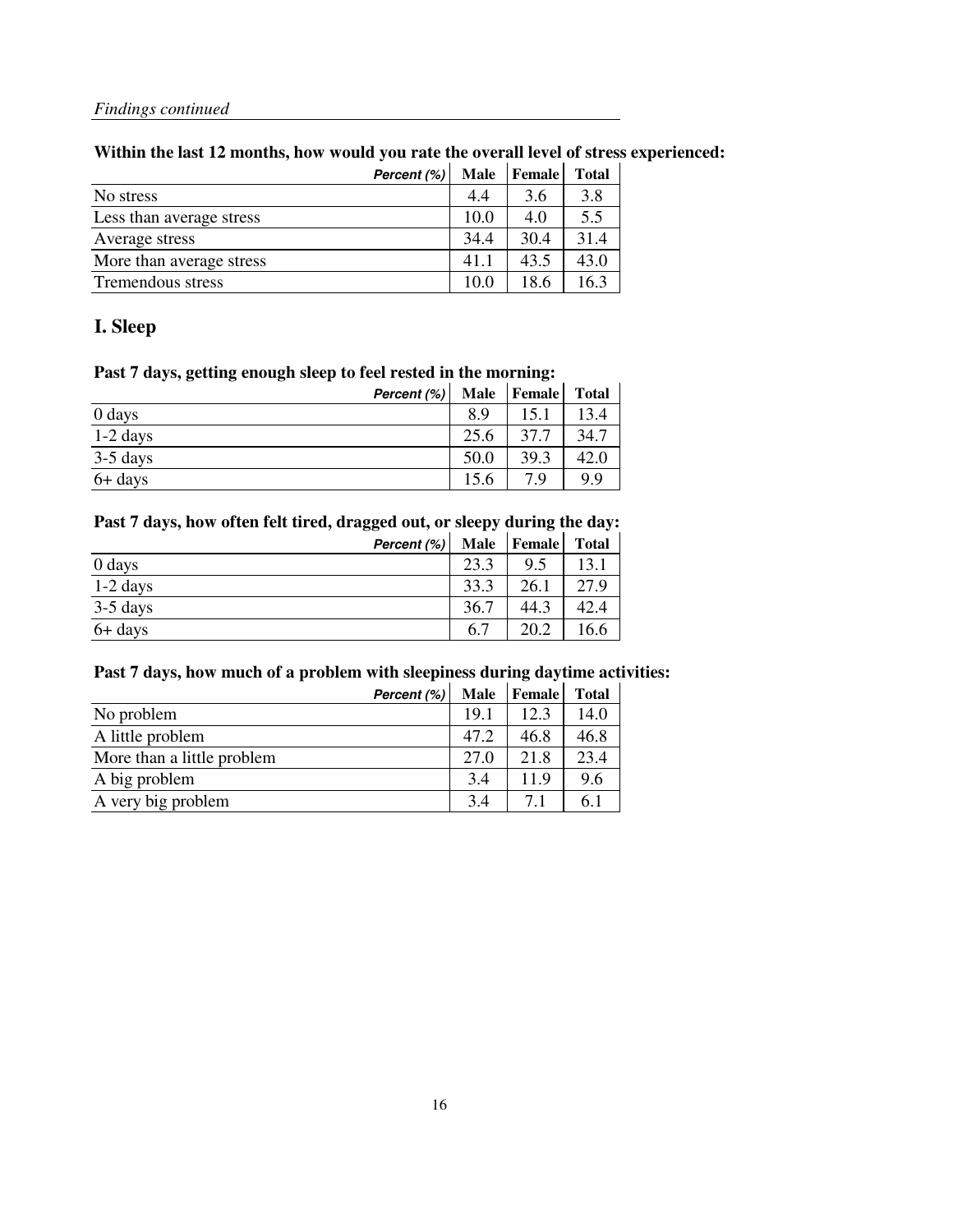#### **Within the last 12 months, how would you rate the overall level of stress experienced:**

|                          | Percent (%) | Male | Female <sup>1</sup> | <b>Total</b> |
|--------------------------|-------------|------|---------------------|--------------|
| No stress                |             | 4.4  | 3.6                 | 3.8          |
| Less than average stress |             | 10.0 | 4.0                 | 5.5          |
| Average stress           |             | 34.4 | 30.4                | 31.4         |
| More than average stress |             | 41.1 | 43.5                | 43.0         |
| Tremendous stress        |             | 10.0 | 18.6                | 16.3         |

#### **I. Sleep**

#### **Past 7 days, getting enough sleep to feel rested in the morning:**

| Percent (%) | <b>Male</b> | Female | <b>Total</b> |
|-------------|-------------|--------|--------------|
| 0 days      | 8.9         | 15.1   | 13.4         |
| $1-2$ days  | 25.6        | 37.7   | 34.7         |
| 3-5 days    | 50.0        | 39.3   | 42.0         |
| $6+$ days   | 15.6        | 7 Q    | 9.9          |

#### **Past 7 days, how often felt tired, dragged out, or sleepy during the day:**

|            | Percent (%) |      | Male   Female | <b>Total</b> |
|------------|-------------|------|---------------|--------------|
| 0 days     |             | 23.3 | 95            | 13.          |
| $1-2$ days |             | 33.3 | 26.1          | 27.9         |
| $3-5$ days |             | 36.7 | 44.3          | 42.4         |
| 6+ days    |             | 6.7  | 20.2          | 16.6         |

#### **Past 7 days, how much of a problem with sleepiness during daytime activities:**

|                            | Percent (%) | <b>Male</b> | <b>Female</b> | <b>Total</b> |
|----------------------------|-------------|-------------|---------------|--------------|
| No problem                 |             | 19.1        | 12.3          | 14.0         |
| A little problem           |             | 47.2        | 46.8          | 46.8         |
| More than a little problem |             | 27.0        | 21.8          | 23.4         |
| A big problem              |             | 3.4         | 11.9          | 9.6          |
| A very big problem         |             | 34          | 7.1           | 6.1          |